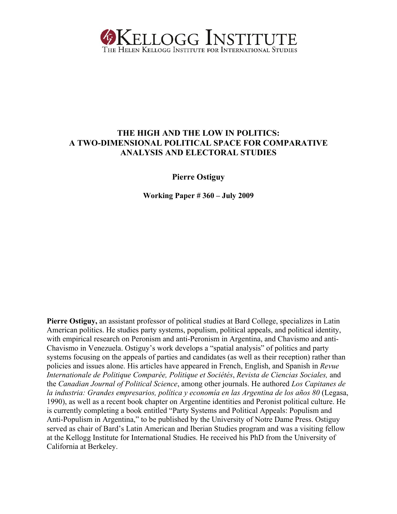

## **THE HIGH AND THE LOW IN POLITICS: A TWO-DIMENSIONAL POLITICAL SPACE FOR COMPARATIVE ANALYSIS AND ELECTORAL STUDIES**

**Pierre Ostiguy** 

**Working Paper # 360 – July 2009** 

**Pierre Ostiguy,** an assistant professor of political studies at Bard College, specializes in Latin American politics. He studies party systems, populism, political appeals, and political identity, with empirical research on Peronism and anti-Peronism in Argentina, and Chavismo and anti-Chavismo in Venezuela. Ostiguy's work develops a "spatial analysis" of politics and party systems focusing on the appeals of parties and candidates (as well as their reception) rather than policies and issues alone. His articles have appeared in French, English, and Spanish in *Revue Internationale de Politique Comparée, Politique et Sociétés*, *Revista de Ciencias Sociales,* and the *Canadian Journal of Political Science*, among other journals. He authored *Los Capitanes de la industria: Grandes empresarios, política y economía en las Argentina de los años 80* (Legasa, 1990), as well as a recent book chapter on Argentine identities and Peronist political culture. He is currently completing a book entitled "Party Systems and Political Appeals: Populism and Anti-Populism in Argentina," to be published by the University of Notre Dame Press. Ostiguy served as chair of Bard's Latin American and Iberian Studies program and was a visiting fellow at the Kellogg Institute for International Studies. He received his PhD from the University of California at Berkeley.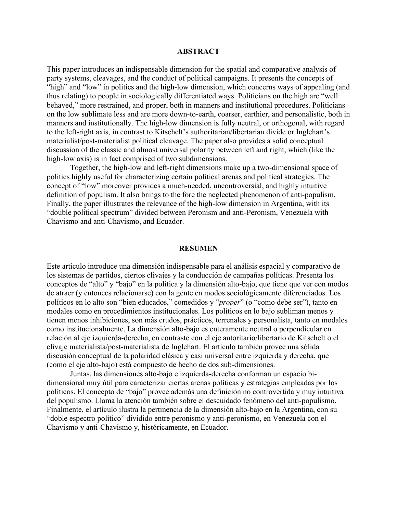#### **ABSTRACT**

This paper introduces an indispensable dimension for the spatial and comparative analysis of party systems, cleavages, and the conduct of political campaigns. It presents the concepts of "high" and "low" in politics and the high-low dimension, which concerns ways of appealing (and thus relating) to people in sociologically differentiated ways. Politicians on the high are "well behaved," more restrained, and proper, both in manners and institutional procedures. Politicians on the low sublimate less and are more down-to-earth, coarser, earthier, and personalistic, both in manners and institutionally. The high-low dimension is fully neutral, or orthogonal, with regard to the left-right axis, in contrast to Kitschelt's authoritarian/libertarian divide or Inglehart's materialist/post-materialist political cleavage. The paper also provides a solid conceptual discussion of the classic and almost universal polarity between left and right, which (like the high-low axis) is in fact comprised of two subdimensions.

 Together, the high-low and left-right dimensions make up a two-dimensional space of politics highly useful for characterizing certain political arenas and political strategies. The concept of "low" moreover provides a much-needed, uncontroversial, and highly intuitive definition of populism. It also brings to the fore the neglected phenomenon of anti-populism. Finally, the paper illustrates the relevance of the high-low dimension in Argentina, with its "double political spectrum" divided between Peronism and anti-Peronism, Venezuela with Chavismo and anti-Chavismo, and Ecuador.

#### **RESUMEN**

Este artículo introduce una dimensión indispensable para el análisis espacial y comparativo de los sistemas de partidos, ciertos clivajes y la conducción de campañas políticas. Presenta los conceptos de "alto" y "bajo" en la política y la dimensión alto-bajo, que tiene que ver con modos de atraer (y entonces relacionarse) con la gente en modos sociológicamente diferenciados. Los políticos en lo alto son "bien educados," comedidos y "*proper*" (o "como debe ser"), tanto en modales como en procedimientos institucionales. Los políticos en lo bajo subliman menos y tienen menos inhibiciones, son más crudos, prácticos, terrenales y personalista, tanto en modales como institucionalmente. La dimensión alto-bajo es enteramente neutral o perpendicular en relación al eje izquierda-derecha, en contraste con el eje autoritario/libertario de Kitschelt o el clivaje materialista/post-materialista de Inglehart. El artículo también provee una sólida discusión conceptual de la polaridad clásica y casi universal entre izquierda y derecha, que (como el eje alto-bajo) está compuesto de hecho de dos sub-dimensiones.

 Juntas, las dimensiones alto-bajo e izquierda-derecha conforman un espacio bidimensional muy útil para caracterizar ciertas arenas políticas y estrategias empleadas por los políticos. El concepto de "bajo" provee además una definición no controvertida y muy intuitiva del populismo. Llama la atención también sobre el descuidado fenómeno del anti-populismo. Finalmente, el artículo ilustra la pertinencia de la dimensión alto-bajo en la Argentina, con su "doble espectro político" dividido entre peronismo y anti-peronismo, en Venezuela con el Chavismo y anti-Chavismo y, históricamente, en Ecuador.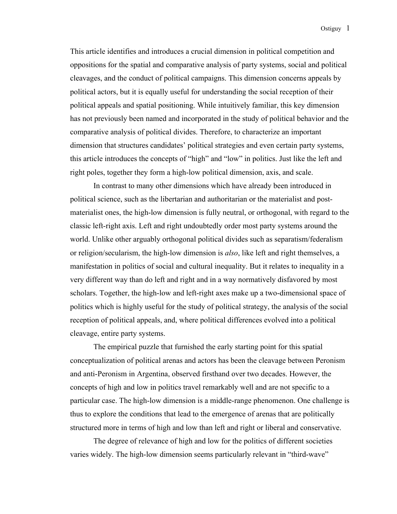This article identifies and introduces a crucial dimension in political competition and oppositions for the spatial and comparative analysis of party systems, social and political cleavages, and the conduct of political campaigns. This dimension concerns appeals by political actors, but it is equally useful for understanding the social reception of their political appeals and spatial positioning. While intuitively familiar, this key dimension has not previously been named and incorporated in the study of political behavior and the comparative analysis of political divides. Therefore, to characterize an important dimension that structures candidates' political strategies and even certain party systems, this article introduces the concepts of "high" and "low" in politics. Just like the left and right poles, together they form a high-low political dimension, axis, and scale.

 In contrast to many other dimensions which have already been introduced in political science, such as the libertarian and authoritarian or the materialist and postmaterialist ones, the high-low dimension is fully neutral, or orthogonal, with regard to the classic left-right axis. Left and right undoubtedly order most party systems around the world. Unlike other arguably orthogonal political divides such as separatism/federalism or religion/secularism, the high-low dimension is *also*, like left and right themselves, a manifestation in politics of social and cultural inequality. But it relates to inequality in a very different way than do left and right and in a way normatively disfavored by most scholars. Together, the high-low and left-right axes make up a two-dimensional space of politics which is highly useful for the study of political strategy, the analysis of the social reception of political appeals, and, where political differences evolved into a political cleavage, entire party systems.

 The empirical puzzle that furnished the early starting point for this spatial conceptualization of political arenas and actors has been the cleavage between Peronism and anti-Peronism in Argentina, observed firsthand over two decades. However, the concepts of high and low in politics travel remarkably well and are not specific to a particular case. The high-low dimension is a middle-range phenomenon. One challenge is thus to explore the conditions that lead to the emergence of arenas that are politically structured more in terms of high and low than left and right or liberal and conservative.

 The degree of relevance of high and low for the politics of different societies varies widely. The high-low dimension seems particularly relevant in "third-wave"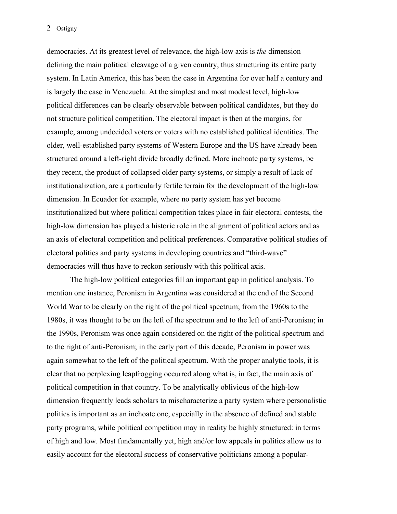democracies. At its greatest level of relevance, the high-low axis is *the* dimension defining the main political cleavage of a given country, thus structuring its entire party system. In Latin America, this has been the case in Argentina for over half a century and is largely the case in Venezuela. At the simplest and most modest level, high-low political differences can be clearly observable between political candidates, but they do not structure political competition. The electoral impact is then at the margins, for example, among undecided voters or voters with no established political identities. The older, well-established party systems of Western Europe and the US have already been structured around a left-right divide broadly defined. More inchoate party systems, be they recent, the product of collapsed older party systems, or simply a result of lack of institutionalization, are a particularly fertile terrain for the development of the high-low dimension. In Ecuador for example, where no party system has yet become institutionalized but where political competition takes place in fair electoral contests, the high-low dimension has played a historic role in the alignment of political actors and as an axis of electoral competition and political preferences. Comparative political studies of electoral politics and party systems in developing countries and "third-wave" democracies will thus have to reckon seriously with this political axis.

 The high-low political categories fill an important gap in political analysis. To mention one instance, Peronism in Argentina was considered at the end of the Second World War to be clearly on the right of the political spectrum; from the 1960s to the 1980s, it was thought to be on the left of the spectrum and to the left of anti-Peronism; in the 1990s, Peronism was once again considered on the right of the political spectrum and to the right of anti-Peronism; in the early part of this decade, Peronism in power was again somewhat to the left of the political spectrum. With the proper analytic tools, it is clear that no perplexing leapfrogging occurred along what is, in fact, the main axis of political competition in that country. To be analytically oblivious of the high-low dimension frequently leads scholars to mischaracterize a party system where personalistic politics is important as an inchoate one, especially in the absence of defined and stable party programs, while political competition may in reality be highly structured: in terms of high and low. Most fundamentally yet, high and/or low appeals in politics allow us to easily account for the electoral success of conservative politicians among a popular-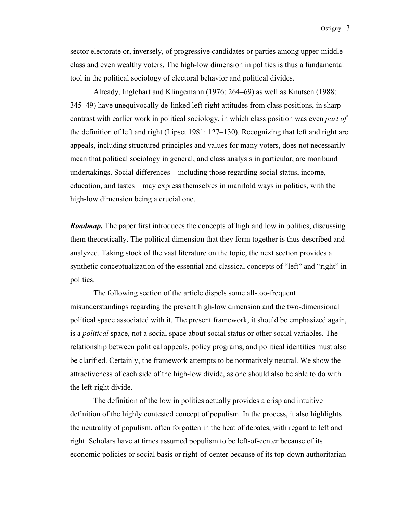sector electorate or, inversely, of progressive candidates or parties among upper-middle class and even wealthy voters. The high-low dimension in politics is thus a fundamental tool in the political sociology of electoral behavior and political divides.

 Already, Inglehart and Klingemann (1976: 264–69) as well as Knutsen (1988: 345–49) have unequivocally de-linked left-right attitudes from class positions, in sharp contrast with earlier work in political sociology, in which class position was even *part of* the definition of left and right (Lipset 1981: 127–130). Recognizing that left and right are appeals, including structured principles and values for many voters, does not necessarily mean that political sociology in general, and class analysis in particular, are moribund undertakings. Social differences—including those regarding social status, income, education, and tastes—may express themselves in manifold ways in politics, with the high-low dimension being a crucial one.

*Roadmap*. The paper first introduces the concepts of high and low in politics, discussing them theoretically. The political dimension that they form together is thus described and analyzed. Taking stock of the vast literature on the topic, the next section provides a synthetic conceptualization of the essential and classical concepts of "left" and "right" in politics.

 The following section of the article dispels some all-too-frequent misunderstandings regarding the present high-low dimension and the two-dimensional political space associated with it. The present framework, it should be emphasized again, is a *political* space, not a social space about social status or other social variables. The relationship between political appeals, policy programs, and political identities must also be clarified. Certainly, the framework attempts to be normatively neutral. We show the attractiveness of each side of the high-low divide, as one should also be able to do with the left-right divide.

 The definition of the low in politics actually provides a crisp and intuitive definition of the highly contested concept of populism. In the process, it also highlights the neutrality of populism, often forgotten in the heat of debates, with regard to left and right. Scholars have at times assumed populism to be left-of-center because of its economic policies or social basis or right-of-center because of its top-down authoritarian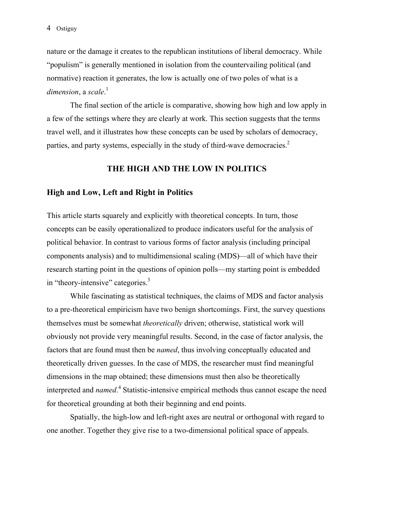nature or the damage it creates to the republican institutions of liberal democracy. While "populism" is generally mentioned in isolation from the countervailing political (and normative) reaction it generates, the low is actually one of two poles of what is a *dimension*, a *scale*. 1

 The final section of the article is comparative, showing how high and low apply in a few of the settings where they are clearly at work. This section suggests that the terms travel well, and it illustrates how these concepts can be used by scholars of democracy, parties, and party systems, especially in the study of third-wave democracies.<sup>2</sup>

### **THE HIGH AND THE LOW IN POLITICS**

### **High and Low, Left and Right in Politics**

This article starts squarely and explicitly with theoretical concepts. In turn, those concepts can be easily operationalized to produce indicators useful for the analysis of political behavior. In contrast to various forms of factor analysis (including principal components analysis) and to multidimensional scaling (MDS)—all of which have their research starting point in the questions of opinion polls—my starting point is embedded in "theory-intensive" categories.<sup>3</sup>

 While fascinating as statistical techniques, the claims of MDS and factor analysis to a pre-theoretical empiricism have two benign shortcomings. First, the survey questions themselves must be somewhat *theoretically* driven; otherwise, statistical work will obviously not provide very meaningful results. Second, in the case of factor analysis, the factors that are found must then be *named*, thus involving conceptually educated and theoretically driven guesses. In the case of MDS, the researcher must find meaningful dimensions in the map obtained; these dimensions must then also be theoretically interpreted and *named*. 4 Statistic-intensive empirical methods thus cannot escape the need for theoretical grounding at both their beginning and end points.

 Spatially, the high-low and left-right axes are neutral or orthogonal with regard to one another. Together they give rise to a two-dimensional political space of appeals.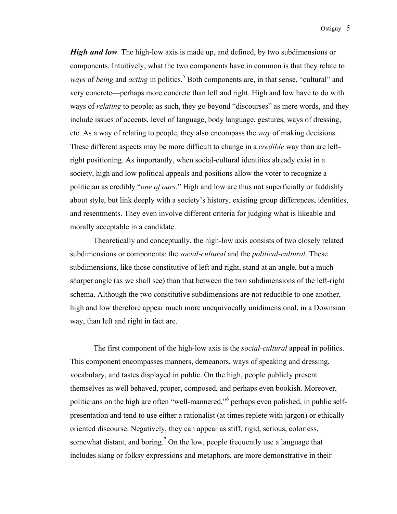*High and low.* The high-low axis is made up, and defined, by two subdimensions or components. Intuitively, what the two components have in common is that they relate to *ways* of *being* and *acting* in politics.<sup>5</sup> Both components are, in that sense, "cultural" and very concrete—perhaps more concrete than left and right. High and low have to do with ways of *relating* to people; as such, they go beyond "discourses" as mere words, and they include issues of accents, level of language, body language, gestures, ways of dressing, etc. As a way of relating to people, they also encompass the *way* of making decisions. These different aspects may be more difficult to change in a *credible* way than are leftright positioning. As importantly, when social-cultural identities already exist in a society, high and low political appeals and positions allow the voter to recognize a politician as credibly "*one of ours.*" High and low are thus not superficially or faddishly about style, but link deeply with a society's history, existing group differences, identities, and resentments. They even involve different criteria for judging what is likeable and morally acceptable in a candidate.

Theoretically and conceptually, the high-low axis consists of two closely related subdimensions or components: the *social-cultural* and the *political-cultural*. These subdimensions, like those constitutive of left and right, stand at an angle, but a much sharper angle (as we shall see) than that between the two subdimensions of the left-right schema. Although the two constitutive subdimensions are not reducible to one another, high and low therefore appear much more unequivocally unidimensional, in a Downsian way, than left and right in fact are.

 The first component of the high-low axis is the *social-cultural* appeal in politics. This component encompasses manners, demeanors, ways of speaking and dressing, vocabulary, and tastes displayed in public. On the high, people publicly present themselves as well behaved, proper, composed, and perhaps even bookish. Moreover, politicians on the high are often "well-mannered," perhaps even polished, in public selfpresentation and tend to use either a rationalist (at times replete with jargon) or ethically oriented discourse. Negatively, they can appear as stiff, rigid, serious, colorless, somewhat distant, and boring.<sup>7</sup> On the low, people frequently use a language that includes slang or folksy expressions and metaphors, are more demonstrative in their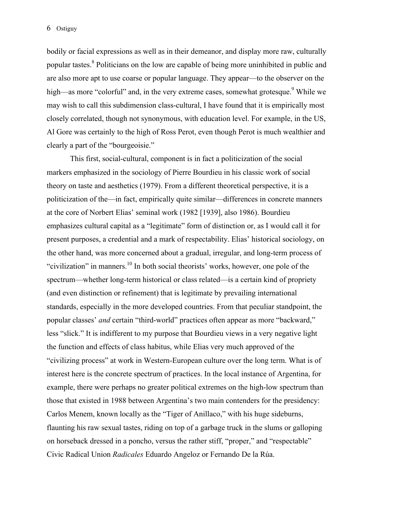bodily or facial expressions as well as in their demeanor, and display more raw, culturally popular tastes.<sup>8</sup> Politicians on the low are capable of being more uninhibited in public and are also more apt to use coarse or popular language. They appear—to the observer on the high—as more "colorful" and, in the very extreme cases, somewhat grotesque.<sup>9</sup> While we may wish to call this subdimension class-cultural, I have found that it is empirically most closely correlated, though not synonymous, with education level. For example, in the US, Al Gore was certainly to the high of Ross Perot, even though Perot is much wealthier and clearly a part of the "bourgeoisie."

 This first, social-cultural, component is in fact a politicization of the social markers emphasized in the sociology of Pierre Bourdieu in his classic work of social theory on taste and aesthetics (1979). From a different theoretical perspective, it is a politicization of the—in fact, empirically quite similar—differences in concrete manners at the core of Norbert Elias' seminal work (1982 [1939], also 1986). Bourdieu emphasizes cultural capital as a "legitimate" form of distinction or, as I would call it for present purposes, a credential and a mark of respectability. Elias' historical sociology, on the other hand, was more concerned about a gradual, irregular, and long-term process of "civilization" in manners.<sup>10</sup> In both social theorists' works, however, one pole of the spectrum—whether long-term historical or class related—is a certain kind of propriety (and even distinction or refinement) that is legitimate by prevailing international standards, especially in the more developed countries. From that peculiar standpoint, the popular classes' *and* certain "third-world" practices often appear as more "backward," less "slick." It is indifferent to my purpose that Bourdieu views in a very negative light the function and effects of class habitus, while Elias very much approved of the "civilizing process" at work in Western-European culture over the long term. What is of interest here is the concrete spectrum of practices. In the local instance of Argentina, for example, there were perhaps no greater political extremes on the high-low spectrum than those that existed in 1988 between Argentina's two main contenders for the presidency: Carlos Menem, known locally as the "Tiger of Anillaco," with his huge sideburns, flaunting his raw sexual tastes, riding on top of a garbage truck in the slums or galloping on horseback dressed in a poncho, versus the rather stiff, "proper," and "respectable" Civic Radical Union *Radicales* Eduardo Angeloz or Fernando De la Rúa.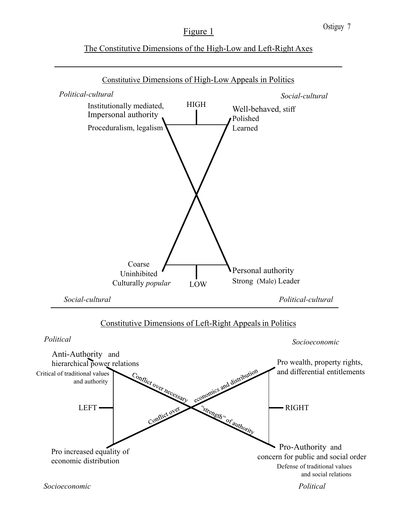# Figure 1

## The Constitutive Dimensions of the High-Low and Left-Right Axes

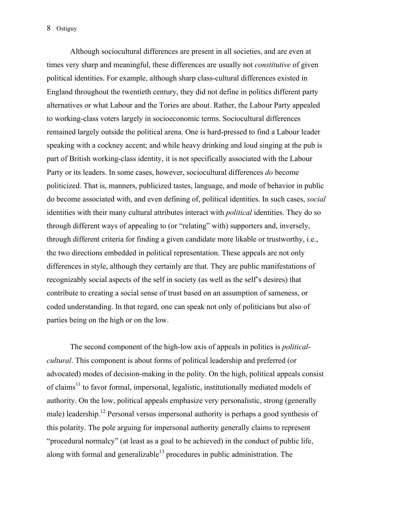Although sociocultural differences are present in all societies, and are even at times very sharp and meaningful, these differences are usually not *constitutive* of given political identities. For example, although sharp class-cultural differences existed in England throughout the twentieth century, they did not define in politics different party alternatives or what Labour and the Tories are about. Rather, the Labour Party appealed to working-class voters largely in socioeconomic terms. Sociocultural differences remained largely outside the political arena. One is hard-pressed to find a Labour leader speaking with a cockney accent; and while heavy drinking and loud singing at the pub is part of British working-class identity, it is not specifically associated with the Labour Party or its leaders. In some cases, however, sociocultural differences *do* become politicized. That is, manners, publicized tastes, language, and mode of behavior in public do become associated with, and even defining of, political identities. In such cases, *social* identities with their many cultural attributes interact with *political* identities. They do so through different ways of appealing to (or "relating" with) supporters and, inversely, through different criteria for finding a given candidate more likable or trustworthy, i.e., the two directions embedded in political representation. These appeals are not only differences in style, although they certainly are that. They are public manifestations of recognizably social aspects of the self in society (as well as the self's desires) that contribute to creating a social sense of trust based on an assumption of sameness, or coded understanding. In that regard, one can speak not only of politicians but also of parties being on the high or on the low.

 The second component of the high-low axis of appeals in politics is *politicalcultural*. This component is about forms of political leadership and preferred (or advocated) modes of decision-making in the polity. On the high, political appeals consist of claims<sup>11</sup> to favor formal, impersonal, legalistic, institutionally mediated models of authority. On the low, political appeals emphasize very personalistic, strong (generally male) leadership.<sup>12</sup> Personal versus impersonal authority is perhaps a good synthesis of this polarity. The pole arguing for impersonal authority generally claims to represent "procedural normalcy" (at least as a goal to be achieved) in the conduct of public life, along with formal and generalizable<sup>13</sup> procedures in public administration. The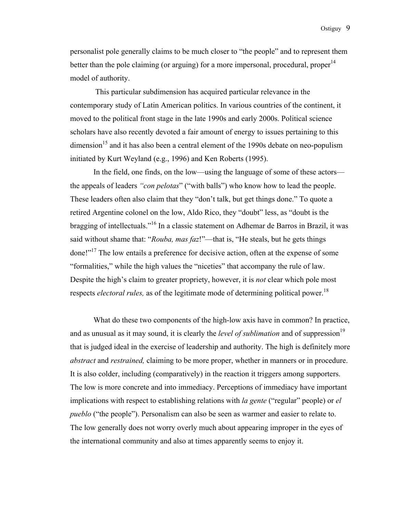personalist pole generally claims to be much closer to "the people" and to represent them better than the pole claiming (or arguing) for a more impersonal, procedural, proper<sup>14</sup> model of authority.

This particular subdimension has acquired particular relevance in the contemporary study of Latin American politics. In various countries of the continent, it moved to the political front stage in the late 1990s and early 2000s. Political science scholars have also recently devoted a fair amount of energy to issues pertaining to this dimension<sup>15</sup> and it has also been a central element of the 1990s debate on neo-populism initiated by Kurt Weyland (e.g., 1996) and Ken Roberts (1995).

 In the field, one finds, on the low—using the language of some of these actors the appeals of leaders *"con pelotas*" ("with balls") who know how to lead the people. These leaders often also claim that they "don't talk, but get things done." To quote a retired Argentine colonel on the low, Aldo Rico, they "doubt" less, as "doubt is the bragging of intellectuals."16 In a classic statement on Adhemar de Barros in Brazil, it was said without shame that: "*Rouba, mas faz*!"—that is, "He steals, but he gets things done!"<sup>17</sup> The low entails a preference for decisive action, often at the expense of some "formalities," while the high values the "niceties" that accompany the rule of law. Despite the high's claim to greater propriety, however, it is *not* clear which pole most respects *electoral rules*, as of the legitimate mode of determining political power.<sup>18</sup>

 What do these two components of the high-low axis have in common? In practice, and as unusual as it may sound, it is clearly the *level of sublimation* and of suppression<sup>19</sup> that is judged ideal in the exercise of leadership and authority. The high is definitely more *abstract* and *restrained,* claiming to be more proper, whether in manners or in procedure. It is also colder, including (comparatively) in the reaction it triggers among supporters. The low is more concrete and into immediacy. Perceptions of immediacy have important implications with respect to establishing relations with *la gente* ("regular" people) or *el pueblo* ("the people"). Personalism can also be seen as warmer and easier to relate to. The low generally does not worry overly much about appearing improper in the eyes of the international community and also at times apparently seems to enjoy it.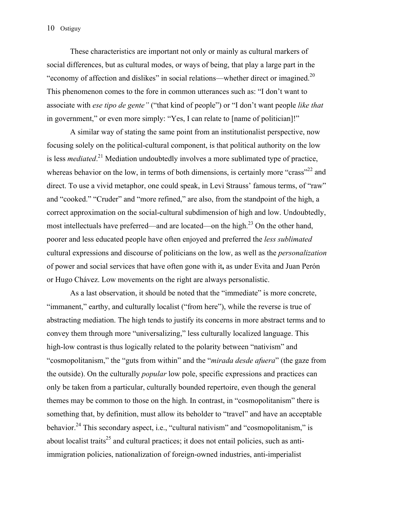These characteristics are important not only or mainly as cultural markers of social differences, but as cultural modes, or ways of being, that play a large part in the "economy of affection and dislikes" in social relations—whether direct or imagined.<sup>20</sup> This phenomenon comes to the fore in common utterances such as: "I don't want to associate with *ese tipo de gente"* ("that kind of people") or "I don't want people *like that* in government," or even more simply: "Yes, I can relate to [name of politician]!"

 A similar way of stating the same point from an institutionalist perspective, now focusing solely on the political-cultural component, is that political authority on the low is less *mediated*.<sup>21</sup> Mediation undoubtedly involves a more sublimated type of practice, whereas behavior on the low, in terms of both dimensions, is certainly more "crass"<sup>22</sup> and direct. To use a vivid metaphor, one could speak, in Levi Strauss' famous terms, of "raw" and "cooked." "Cruder" and "more refined," are also, from the standpoint of the high, a correct approximation on the social-cultural subdimension of high and low. Undoubtedly, most intellectuals have preferred—and are located—on the high.<sup>23</sup> On the other hand, poorer and less educated people have often enjoyed and preferred the *less sublimated*  cultural expressions and discourse of politicians on the low, as well as the *personalization* of power and social services that have often gone with it**,** as under Evita and Juan Perón or Hugo Chávez. Low movements on the right are always personalistic.

 As a last observation, it should be noted that the "immediate" is more concrete, "immanent," earthy, and culturally localist ("from here"), while the reverse is true of abstracting mediation. The high tends to justify its concerns in more abstract terms and to convey them through more "universalizing," less culturally localized language. This high-low contrast is thus logically related to the polarity between "nativism" and "cosmopolitanism," the "guts from within" and the "*mirada desde afuera*" (the gaze from the outside). On the culturally *popular* low pole, specific expressions and practices can only be taken from a particular, culturally bounded repertoire, even though the general themes may be common to those on the high. In contrast, in "cosmopolitanism" there is something that, by definition, must allow its beholder to "travel" and have an acceptable behavior.<sup>24</sup> This secondary aspect, i.e., "cultural nativism" and "cosmopolitanism," is about localist traits<sup>25</sup> and cultural practices; it does not entail policies, such as antiimmigration policies, nationalization of foreign-owned industries, anti-imperialist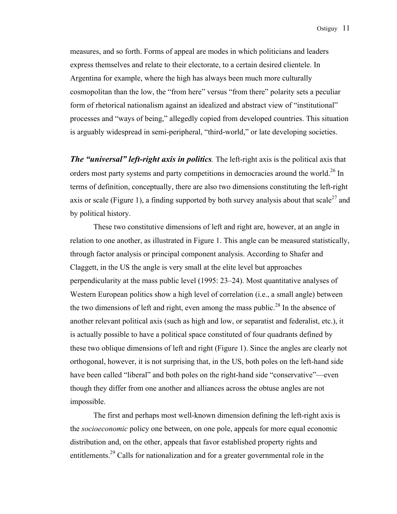measures, and so forth. Forms of appeal are modes in which politicians and leaders express themselves and relate to their electorate, to a certain desired clientele. In Argentina for example, where the high has always been much more culturally cosmopolitan than the low, the "from here" versus "from there" polarity sets a peculiar form of rhetorical nationalism against an idealized and abstract view of "institutional" processes and "ways of being," allegedly copied from developed countries. This situation is arguably widespread in semi-peripheral, "third-world," or late developing societies.

*The "universal" left-right axis in politics.* The left-right axis is the political axis that orders most party systems and party competitions in democracies around the world.<sup>26</sup> In terms of definition, conceptually, there are also two dimensions constituting the left-right axis or scale (Figure 1), a finding supported by both survey analysis about that scale<sup>27</sup> and by political history.

 These two constitutive dimensions of left and right are, however, at an angle in relation to one another, as illustrated in Figure 1. This angle can be measured statistically, through factor analysis or principal component analysis. According to Shafer and Claggett, in the US the angle is very small at the elite level but approaches perpendicularity at the mass public level (1995: 23–24). Most quantitative analyses of Western European politics show a high level of correlation (i.e., a small angle) between the two dimensions of left and right, even among the mass public.<sup>28</sup> In the absence of another relevant political axis (such as high and low, or separatist and federalist, etc.), it is actually possible to have a political space constituted of four quadrants defined by these two oblique dimensions of left and right (Figure 1). Since the angles are clearly not orthogonal, however, it is not surprising that, in the US, both poles on the left-hand side have been called "liberal" and both poles on the right-hand side "conservative"—even though they differ from one another and alliances across the obtuse angles are not impossible.

The first and perhaps most well-known dimension defining the left-right axis is the *socioeconomic* policy one between, on one pole, appeals for more equal economic distribution and, on the other, appeals that favor established property rights and entitlements.29 Calls for nationalization and for a greater governmental role in the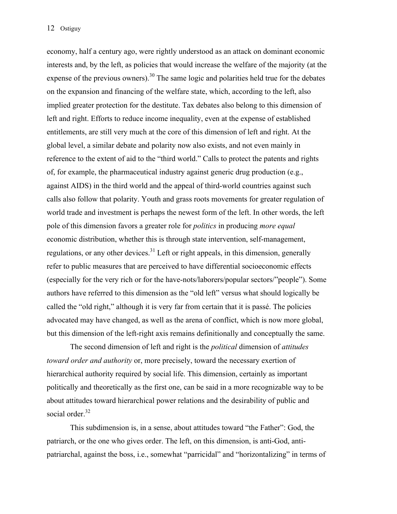economy, half a century ago, were rightly understood as an attack on dominant economic interests and, by the left, as policies that would increase the welfare of the majority (at the expense of the previous owners).<sup>30</sup> The same logic and polarities held true for the debates on the expansion and financing of the welfare state, which, according to the left, also implied greater protection for the destitute. Tax debates also belong to this dimension of left and right. Efforts to reduce income inequality, even at the expense of established entitlements, are still very much at the core of this dimension of left and right. At the global level, a similar debate and polarity now also exists, and not even mainly in reference to the extent of aid to the "third world." Calls to protect the patents and rights of, for example, the pharmaceutical industry against generic drug production (e.g., against AIDS) in the third world and the appeal of third-world countries against such calls also follow that polarity. Youth and grass roots movements for greater regulation of world trade and investment is perhaps the newest form of the left. In other words, the left pole of this dimension favors a greater role for *politics* in producing *more equal* economic distribution, whether this is through state intervention, self-management, regulations, or any other devices.<sup>31</sup> Left or right appeals, in this dimension, generally refer to public measures that are perceived to have differential socioeconomic effects (especially for the very rich or for the have-nots/laborers/popular sectors/"people"). Some authors have referred to this dimension as the "old left" versus what should logically be called the "old right," although it is very far from certain that it is passé. The policies advocated may have changed, as well as the arena of conflict, which is now more global, but this dimension of the left-right axis remains definitionally and conceptually the same.

The second dimension of left and right is the *political* dimension of *attitudes toward order and authority* or, more precisely, toward the necessary exertion of hierarchical authority required by social life. This dimension, certainly as important politically and theoretically as the first one, can be said in a more recognizable way to be about attitudes toward hierarchical power relations and the desirability of public and social order.<sup>32</sup>

This subdimension is, in a sense, about attitudes toward "the Father": God, the patriarch, or the one who gives order. The left, on this dimension, is anti-God, antipatriarchal, against the boss, i.e., somewhat "parricidal" and "horizontalizing" in terms of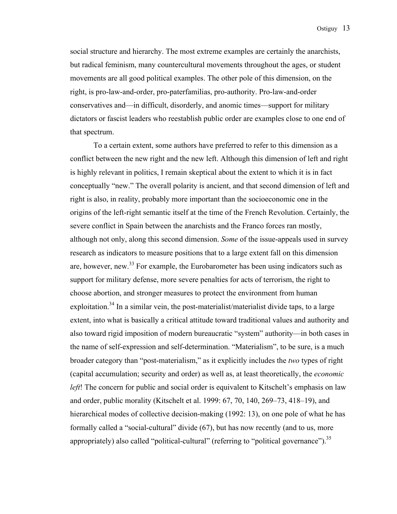social structure and hierarchy. The most extreme examples are certainly the anarchists, but radical feminism, many countercultural movements throughout the ages, or student movements are all good political examples. The other pole of this dimension, on the right, is pro-law-and-order, pro-paterfamilias, pro-authority. Pro-law-and-order conservatives and—in difficult, disorderly, and anomic times—support for military dictators or fascist leaders who reestablish public order are examples close to one end of that spectrum.

 To a certain extent, some authors have preferred to refer to this dimension as a conflict between the new right and the new left. Although this dimension of left and right is highly relevant in politics, I remain skeptical about the extent to which it is in fact conceptually "new." The overall polarity is ancient, and that second dimension of left and right is also, in reality, probably more important than the socioeconomic one in the origins of the left-right semantic itself at the time of the French Revolution. Certainly, the severe conflict in Spain between the anarchists and the Franco forces ran mostly, although not only, along this second dimension. *Some* of the issue-appeals used in survey research as indicators to measure positions that to a large extent fall on this dimension are, however, new.<sup>33</sup> For example, the Eurobarometer has been using indicators such as support for military defense, more severe penalties for acts of terrorism, the right to choose abortion, and stronger measures to protect the environment from human exploitation.<sup>34</sup> In a similar vein, the post-materialist/materialist divide taps, to a large extent, into what is basically a critical attitude toward traditional values and authority and also toward rigid imposition of modern bureaucratic "system" authority—in both cases in the name of self-expression and self-determination. "Materialism", to be sure, is a much broader category than "post-materialism," as it explicitly includes the *two* types of right (capital accumulation; security and order) as well as, at least theoretically, the *economic left*! The concern for public and social order is equivalent to Kitschelt's emphasis on law and order, public morality (Kitschelt et al. 1999: 67, 70, 140, 269–73, 418–19), and hierarchical modes of collective decision-making (1992: 13), on one pole of what he has formally called a "social-cultural" divide (67), but has now recently (and to us, more appropriately) also called "political-cultural" (referring to "political governance").  $35$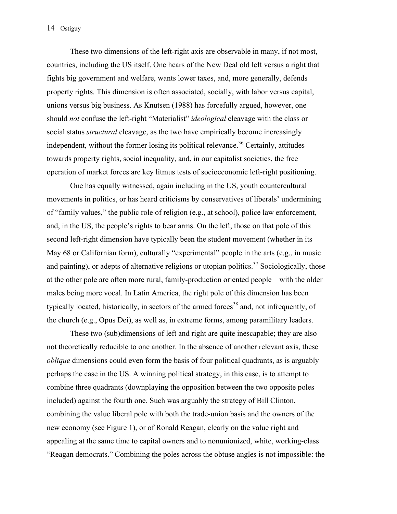These two dimensions of the left-right axis are observable in many, if not most, countries, including the US itself. One hears of the New Deal old left versus a right that fights big government and welfare, wants lower taxes, and, more generally, defends property rights. This dimension is often associated, socially, with labor versus capital, unions versus big business. As Knutsen (1988) has forcefully argued, however, one should *not* confuse the left-right "Materialist" *ideological* cleavage with the class or social status *structural* cleavage, as the two have empirically become increasingly independent, without the former losing its political relevance.<sup>36</sup> Certainly, attitudes towards property rights, social inequality, and, in our capitalist societies, the free operation of market forces are key litmus tests of socioeconomic left-right positioning.

 One has equally witnessed, again including in the US, youth countercultural movements in politics, or has heard criticisms by conservatives of liberals' undermining of "family values," the public role of religion (e.g., at school), police law enforcement, and, in the US, the people's rights to bear arms. On the left, those on that pole of this second left-right dimension have typically been the student movement (whether in its May 68 or Californian form), culturally "experimental" people in the arts (e.g., in music and painting), or adepts of alternative religions or utopian politics.<sup>37</sup> Sociologically, those at the other pole are often more rural, family-production oriented people—with the older males being more vocal. In Latin America, the right pole of this dimension has been typically located, historically, in sectors of the armed forces<sup>38</sup> and, not infrequently, of the church (e.g., Opus Dei), as well as, in extreme forms, among paramilitary leaders.

These two (sub)dimensions of left and right are quite inescapable; they are also not theoretically reducible to one another. In the absence of another relevant axis, these *oblique* dimensions could even form the basis of four political quadrants, as is arguably perhaps the case in the US. A winning political strategy, in this case, is to attempt to combine three quadrants (downplaying the opposition between the two opposite poles included) against the fourth one. Such was arguably the strategy of Bill Clinton, combining the value liberal pole with both the trade-union basis and the owners of the new economy (see Figure 1), or of Ronald Reagan, clearly on the value right and appealing at the same time to capital owners and to nonunionized, white, working-class "Reagan democrats." Combining the poles across the obtuse angles is not impossible: the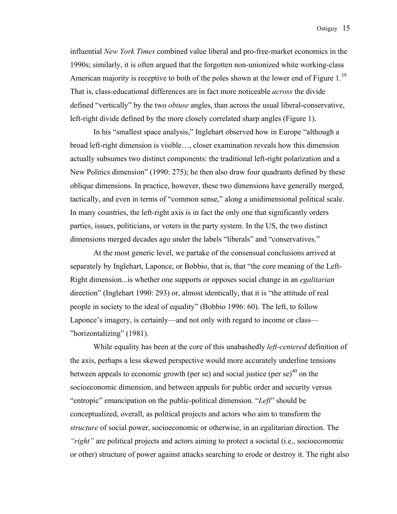influential *New York Times* combined value liberal and pro-free-market economics in the 1990s; similarly, it is often argued that the forgotten non-unionized white working-class American majority is receptive to both of the poles shown at the lower end of Figure 1.<sup>39</sup> That is, class-educational differences are in fact more noticeable *across* the divide defined "vertically" by the two *obtuse* angles, than across the usual liberal-conservative, left-right divide defined by the more closely correlated sharp angles (Figure 1).

In his "smallest space analysis," Inglehart observed how in Europe "although a broad left-right dimension is visible…, closer examination reveals how this dimension actually subsumes two distinct components: the traditional left-right polarization and a New Politics dimension" (1990: 275); he then also draw four quadrants defined by these oblique dimensions. In practice, however, these two dimensions have generally merged, tactically, and even in terms of "common sense," along a unidimensional political scale. In many countries, the left-right axis is in fact the only one that significantly orders parties, issues, politicians, or voters in the party system. In the US, the two distinct dimensions merged decades ago under the labels "liberals" and "conservatives."

 At the most generic level, we partake of the consensual conclusions arrived at separately by Inglehart, Laponce, or Bobbio, that is, that "the core meaning of the Left-Right dimension...is whether one supports or opposes social change in an *egalitarian* direction" (Inglehart 1990: 293) or, almost identically, that it is "the attitude of real people in society to the ideal of equality" (Bobbio 1996: 60). The left, to follow Laponce's imagery, is certainly—and not only with regard to income or class— "horizontalizing" (1981).

 While equality has been at the core of this unabashedly *left-centered* definition of the axis, perhaps a less skewed perspective would more accurately underline tensions between appeals to economic growth (per se) and social justice (per se) $40$  on the socioeconomic dimension, and between appeals for public order and security versus "entropic" emancipation on the public-political dimension. "*Left*" should be conceptualized, overall, as political projects and actors who aim to transform the *structure* of social power, socioeconomic or otherwise, in an egalitarian direction. The *"right"* are political projects and actors aiming to protect a societal (i.e., socioeconomic or other) structure of power against attacks searching to erode or destroy it. The right also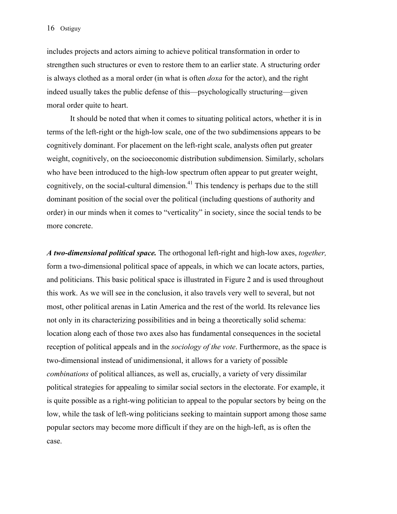includes projects and actors aiming to achieve political transformation in order to strengthen such structures or even to restore them to an earlier state. A structuring order is always clothed as a moral order (in what is often *doxa* for the actor), and the right indeed usually takes the public defense of this—psychologically structuring—given moral order quite to heart.

 It should be noted that when it comes to situating political actors, whether it is in terms of the left-right or the high-low scale, one of the two subdimensions appears to be cognitively dominant. For placement on the left-right scale, analysts often put greater weight, cognitively, on the socioeconomic distribution subdimension. Similarly, scholars who have been introduced to the high-low spectrum often appear to put greater weight, cognitively, on the social-cultural dimension.<sup>41</sup> This tendency is perhaps due to the still dominant position of the social over the political (including questions of authority and order) in our minds when it comes to "verticality" in society, since the social tends to be more concrete.

*A two-dimensional political space.* The orthogonal left-right and high-low axes, *together,* form a two-dimensional political space of appeals, in which we can locate actors, parties, and politicians. This basic political space is illustrated in Figure 2 and is used throughout this work. As we will see in the conclusion, it also travels very well to several, but not most, other political arenas in Latin America and the rest of the world. Its relevance lies not only in its characterizing possibilities and in being a theoretically solid schema: location along each of those two axes also has fundamental consequences in the societal reception of political appeals and in the *sociology of the vote*. Furthermore, as the space is two-dimensional instead of unidimensional, it allows for a variety of possible *combinations* of political alliances, as well as, crucially, a variety of very dissimilar political strategies for appealing to similar social sectors in the electorate. For example, it is quite possible as a right-wing politician to appeal to the popular sectors by being on the low, while the task of left-wing politicians seeking to maintain support among those same popular sectors may become more difficult if they are on the high-left, as is often the case.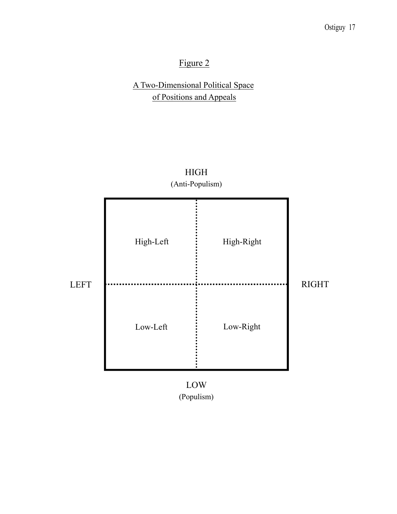# Figure 2

# A Two-Dimensional Political Space of Positions and Appeals



HIGH

LOW (Populism)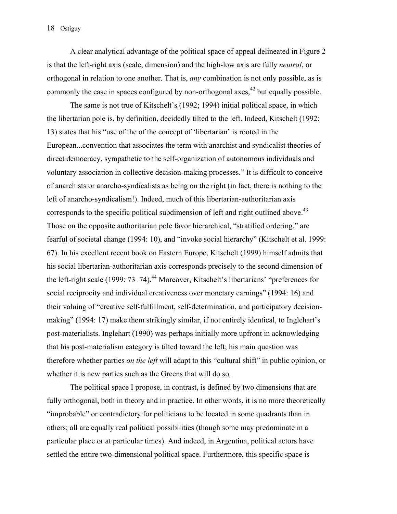A clear analytical advantage of the political space of appeal delineated in Figure 2 is that the left-right axis (scale, dimension) and the high-low axis are fully *neutral*, or orthogonal in relation to one another. That is, *any* combination is not only possible, as is commonly the case in spaces configured by non-orthogonal axes,<sup> $42$ </sup> but equally possible.

 The same is not true of Kitschelt's (1992; 1994) initial political space, in which the libertarian pole is, by definition, decidedly tilted to the left. Indeed, Kitschelt (1992: 13) states that his "use of the of the concept of 'libertarian' is rooted in the European...convention that associates the term with anarchist and syndicalist theories of direct democracy, sympathetic to the self-organization of autonomous individuals and voluntary association in collective decision-making processes." It is difficult to conceive of anarchists or anarcho-syndicalists as being on the right (in fact, there is nothing to the left of anarcho-syndicalism!). Indeed, much of this libertarian-authoritarian axis corresponds to the specific political subdimension of left and right outlined above.<sup>43</sup> Those on the opposite authoritarian pole favor hierarchical, "stratified ordering," are fearful of societal change (1994: 10), and "invoke social hierarchy" (Kitschelt et al. 1999: 67). In his excellent recent book on Eastern Europe, Kitschelt (1999) himself admits that his social libertarian-authoritarian axis corresponds precisely to the second dimension of the left-right scale (1999: 73–74).<sup>44</sup> Moreover, Kitschelt's libertarians' "preferences for social reciprocity and individual creativeness over monetary earnings" (1994: 16) and their valuing of "creative self-fulfillment, self-determination, and participatory decisionmaking" (1994: 17) make them strikingly similar, if not entirely identical, to Inglehart's post-materialists. Inglehart (1990) was perhaps initially more upfront in acknowledging that his post-materialism category is tilted toward the left; his main question was therefore whether parties *on the left* will adapt to this "cultural shift" in public opinion, or whether it is new parties such as the Greens that will do so.

 The political space I propose, in contrast, is defined by two dimensions that are fully orthogonal, both in theory and in practice. In other words, it is no more theoretically "improbable" or contradictory for politicians to be located in some quadrants than in others; all are equally real political possibilities (though some may predominate in a particular place or at particular times). And indeed, in Argentina, political actors have settled the entire two-dimensional political space. Furthermore, this specific space is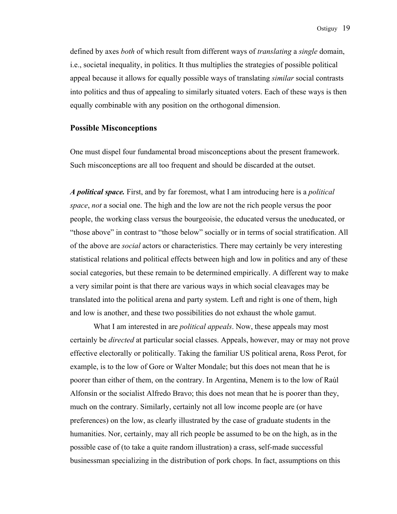defined by axes *both* of which result from different ways of *translating* a *single* domain, i.e., societal inequality, in politics. It thus multiplies the strategies of possible political appeal because it allows for equally possible ways of translating *similar* social contrasts into politics and thus of appealing to similarly situated voters. Each of these ways is then equally combinable with any position on the orthogonal dimension.

#### **Possible Misconceptions**

One must dispel four fundamental broad misconceptions about the present framework. Such misconceptions are all too frequent and should be discarded at the outset.

*A political space.* First, and by far foremost, what I am introducing here is a *political space*, *not* a social one. The high and the low are not the rich people versus the poor people, the working class versus the bourgeoisie, the educated versus the uneducated, or "those above" in contrast to "those below" socially or in terms of social stratification. All of the above are *social* actors or characteristics. There may certainly be very interesting statistical relations and political effects between high and low in politics and any of these social categories, but these remain to be determined empirically. A different way to make a very similar point is that there are various ways in which social cleavages may be translated into the political arena and party system. Left and right is one of them, high and low is another, and these two possibilities do not exhaust the whole gamut.

 What I am interested in are *political appeals*. Now, these appeals may most certainly be *directed* at particular social classes. Appeals, however, may or may not prove effective electorally or politically. Taking the familiar US political arena, Ross Perot, for example, is to the low of Gore or Walter Mondale; but this does not mean that he is poorer than either of them, on the contrary. In Argentina, Menem is to the low of Raúl Alfonsín or the socialist Alfredo Bravo; this does not mean that he is poorer than they, much on the contrary. Similarly, certainly not all low income people are (or have preferences) on the low, as clearly illustrated by the case of graduate students in the humanities. Nor, certainly, may all rich people be assumed to be on the high, as in the possible case of (to take a quite random illustration) a crass, self-made successful businessman specializing in the distribution of pork chops. In fact, assumptions on this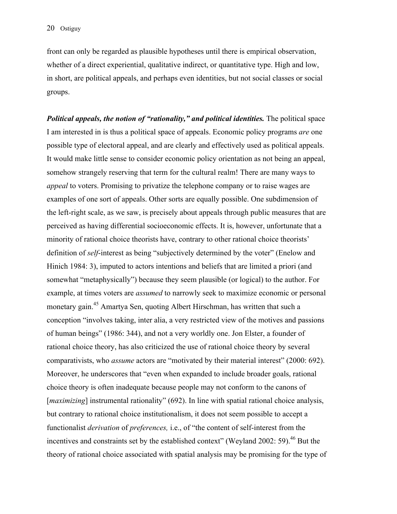front can only be regarded as plausible hypotheses until there is empirical observation, whether of a direct experiential, qualitative indirect, or quantitative type. High and low, in short, are political appeals, and perhaps even identities, but not social classes or social groups.

*Political appeals, the notion of "rationality," and political identities.* The political space I am interested in is thus a political space of appeals. Economic policy programs *are* one possible type of electoral appeal, and are clearly and effectively used as political appeals. It would make little sense to consider economic policy orientation as not being an appeal, somehow strangely reserving that term for the cultural realm! There are many ways to *appeal* to voters. Promising to privatize the telephone company or to raise wages are examples of one sort of appeals. Other sorts are equally possible. One subdimension of the left-right scale, as we saw, is precisely about appeals through public measures that are perceived as having differential socioeconomic effects. It is, however, unfortunate that a minority of rational choice theorists have, contrary to other rational choice theorists' definition of *self*-interest as being "subjectively determined by the voter" (Enelow and Hinich 1984: 3), imputed to actors intentions and beliefs that are limited a priori (and somewhat "metaphysically") because they seem plausible (or logical) to the author. For example, at times voters are *assumed* to narrowly seek to maximize economic or personal monetary gain.<sup>45</sup> Amartya Sen, quoting Albert Hirschman, has written that such a conception "involves taking, inter alia, a very restricted view of the motives and passions of human beings" (1986: 344), and not a very worldly one. Jon Elster, a founder of rational choice theory, has also criticized the use of rational choice theory by several comparativists, who *assume* actors are "motivated by their material interest" (2000: 692). Moreover, he underscores that "even when expanded to include broader goals, rational choice theory is often inadequate because people may not conform to the canons of [*maximizing*] instrumental rationality" (692). In line with spatial rational choice analysis, but contrary to rational choice institutionalism, it does not seem possible to accept a functionalist *derivation* of *preferences,* i.e., of "the content of self-interest from the incentives and constraints set by the established context" (Weyland 2002: 59).<sup>46</sup> But the theory of rational choice associated with spatial analysis may be promising for the type of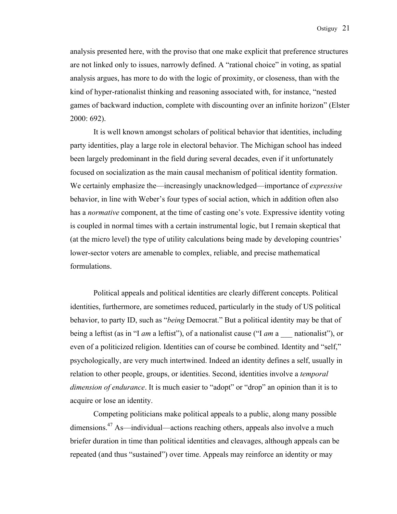analysis presented here, with the proviso that one make explicit that preference structures are not linked only to issues, narrowly defined. A "rational choice" in voting, as spatial analysis argues, has more to do with the logic of proximity, or closeness, than with the kind of hyper-rationalist thinking and reasoning associated with, for instance, "nested games of backward induction, complete with discounting over an infinite horizon" (Elster 2000: 692).

 It is well known amongst scholars of political behavior that identities, including party identities, play a large role in electoral behavior. The Michigan school has indeed been largely predominant in the field during several decades, even if it unfortunately focused on socialization as the main causal mechanism of political identity formation. We certainly emphasize the—increasingly unacknowledged—importance of *expressive* behavior, in line with Weber's four types of social action, which in addition often also has a *normative* component, at the time of casting one's vote. Expressive identity voting is coupled in normal times with a certain instrumental logic, but I remain skeptical that (at the micro level) the type of utility calculations being made by developing countries' lower-sector voters are amenable to complex, reliable, and precise mathematical formulations.

 Political appeals and political identities are clearly different concepts. Political identities, furthermore, are sometimes reduced, particularly in the study of US political behavior, to party ID, such as "*being* Democrat." But a political identity may be that of being a leftist (as in "I *am* a leftist"), of a nationalist cause ("I *am* a \_\_\_ nationalist"), or even of a politicized religion. Identities can of course be combined. Identity and "self," psychologically, are very much intertwined. Indeed an identity defines a self, usually in relation to other people, groups, or identities. Second, identities involve a *temporal dimension of endurance*. It is much easier to "adopt" or "drop" an opinion than it is to acquire or lose an identity.

 Competing politicians make political appeals to a public, along many possible dimensions.<sup>47</sup> As—individual—actions reaching others, appeals also involve a much briefer duration in time than political identities and cleavages, although appeals can be repeated (and thus "sustained") over time. Appeals may reinforce an identity or may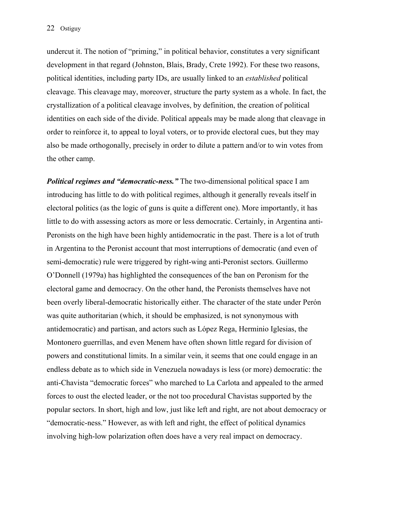undercut it. The notion of "priming," in political behavior, constitutes a very significant development in that regard (Johnston, Blais, Brady, Crete 1992). For these two reasons, political identities, including party IDs, are usually linked to an *established* political cleavage. This cleavage may, moreover, structure the party system as a whole. In fact, the crystallization of a political cleavage involves, by definition, the creation of political identities on each side of the divide. Political appeals may be made along that cleavage in order to reinforce it, to appeal to loyal voters, or to provide electoral cues, but they may also be made orthogonally, precisely in order to dilute a pattern and/or to win votes from the other camp.

*Political regimes and "democratic-ness."* The two-dimensional political space I am introducing has little to do with political regimes, although it generally reveals itself in electoral politics (as the logic of guns is quite a different one). More importantly, it has little to do with assessing actors as more or less democratic. Certainly, in Argentina anti-Peronists on the high have been highly antidemocratic in the past. There is a lot of truth in Argentina to the Peronist account that most interruptions of democratic (and even of semi-democratic) rule were triggered by right-wing anti-Peronist sectors. Guillermo O'Donnell (1979a) has highlighted the consequences of the ban on Peronism for the electoral game and democracy. On the other hand, the Peronists themselves have not been overly liberal-democratic historically either. The character of the state under Perón was quite authoritarian (which, it should be emphasized, is not synonymous with antidemocratic) and partisan, and actors such as López Rega, Herminio Iglesias, the Montonero guerrillas, and even Menem have often shown little regard for division of powers and constitutional limits. In a similar vein, it seems that one could engage in an endless debate as to which side in Venezuela nowadays is less (or more) democratic: the anti-Chavista "democratic forces" who marched to La Carlota and appealed to the armed forces to oust the elected leader, or the not too procedural Chavistas supported by the popular sectors. In short, high and low, just like left and right, are not about democracy or "democratic-ness." However, as with left and right, the effect of political dynamics involving high-low polarization often does have a very real impact on democracy.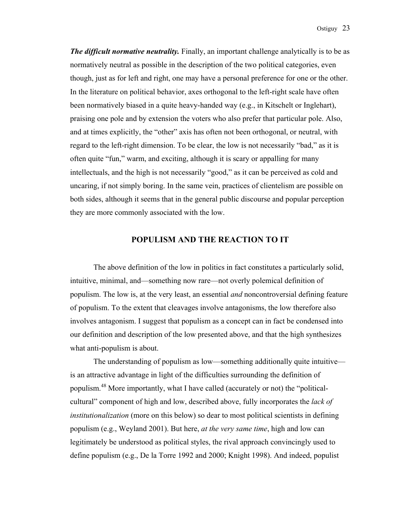*The difficult normative neutrality.* Finally, an important challenge analytically is to be as normatively neutral as possible in the description of the two political categories, even though, just as for left and right, one may have a personal preference for one or the other. In the literature on political behavior, axes orthogonal to the left-right scale have often been normatively biased in a quite heavy-handed way (e.g., in Kitschelt or Inglehart), praising one pole and by extension the voters who also prefer that particular pole. Also, and at times explicitly, the "other" axis has often not been orthogonal, or neutral, with regard to the left-right dimension. To be clear, the low is not necessarily "bad," as it is often quite "fun," warm, and exciting, although it is scary or appalling for many intellectuals, and the high is not necessarily "good," as it can be perceived as cold and uncaring, if not simply boring. In the same vein, practices of clientelism are possible on both sides, although it seems that in the general public discourse and popular perception they are more commonly associated with the low.

### **POPULISM AND THE REACTION TO IT**

 The above definition of the low in politics in fact constitutes a particularly solid, intuitive, minimal, and—something now rare—not overly polemical definition of populism. The low is, at the very least, an essential *and* noncontroversial defining feature of populism. To the extent that cleavages involve antagonisms, the low therefore also involves antagonism. I suggest that populism as a concept can in fact be condensed into our definition and description of the low presented above, and that the high synthesizes what anti-populism is about.

 The understanding of populism as low—something additionally quite intuitive is an attractive advantage in light of the difficulties surrounding the definition of populism.48 More importantly, what I have called (accurately or not) the "politicalcultural" component of high and low, described above, fully incorporates the *lack of institutionalization* (more on this below) so dear to most political scientists in defining populism (e.g., Weyland 2001). But here, *at the very same time*, high and low can legitimately be understood as political styles, the rival approach convincingly used to define populism (e.g., De la Torre 1992 and 2000; Knight 1998). And indeed, populist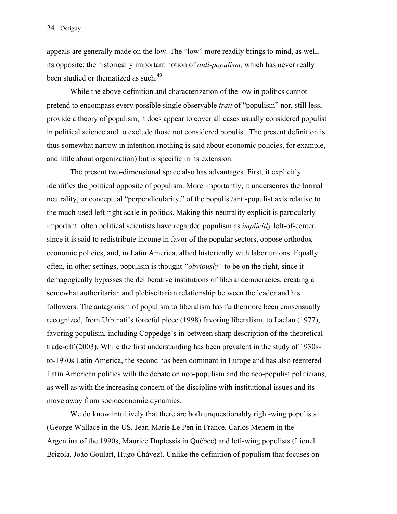appeals are generally made on the low. The "low" more readily brings to mind, as well, its opposite: the historically important notion of *anti-populism,* which has never really been studied or thematized as such.<sup>49</sup>

 While the above definition and characterization of the low in politics cannot pretend to encompass every possible single observable *trait* of "populism" nor, still less, provide a theory of populism, it does appear to cover all cases usually considered populist in political science and to exclude those not considered populist. The present definition is thus somewhat narrow in intention (nothing is said about economic policies, for example, and little about organization) but is specific in its extension.

 The present two-dimensional space also has advantages. First, it explicitly identifies the political opposite of populism. More importantly, it underscores the formal neutrality, or conceptual "perpendicularity," of the populist/anti-populist axis relative to the much-used left-right scale in politics. Making this neutrality explicit is particularly important: often political scientists have regarded populism as *implicitly* left-of-center, since it is said to redistribute income in favor of the popular sectors, oppose orthodox economic policies, and, in Latin America, allied historically with labor unions. Equally often, in other settings, populism is thought *"obviously"* to be on the right, since it demagogically bypasses the deliberative institutions of liberal democracies, creating a somewhat authoritarian and plebiscitarian relationship between the leader and his followers. The antagonism of populism to liberalism has furthermore been consensually recognized, from Urbinati's forceful piece (1998) favoring liberalism, to Laclau (1977), favoring populism, including Coppedge's in-between sharp description of the theoretical trade-off (2003). While the first understanding has been prevalent in the study of 1930sto-1970s Latin America, the second has been dominant in Europe and has also reentered Latin American politics with the debate on neo-populism and the neo-populist politicians, as well as with the increasing concern of the discipline with institutional issues and its move away from socioeconomic dynamics.

 We do know intuitively that there are both unquestionably right-wing populists (George Wallace in the US, Jean-Marie Le Pen in France, Carlos Menem in the Argentina of the 1990s, Maurice Duplessis in Québec) and left-wing populists (Lionel Brizola, João Goulart, Hugo Chávez). Unlike the definition of populism that focuses on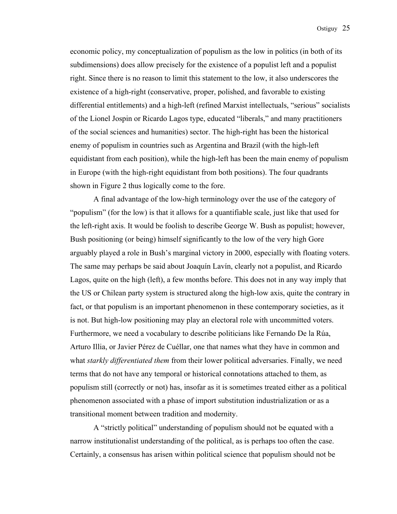economic policy, my conceptualization of populism as the low in politics (in both of its subdimensions) does allow precisely for the existence of a populist left and a populist right. Since there is no reason to limit this statement to the low, it also underscores the existence of a high-right (conservative, proper, polished, and favorable to existing differential entitlements) and a high-left (refined Marxist intellectuals, "serious" socialists of the Lionel Jospin or Ricardo Lagos type, educated "liberals," and many practitioners of the social sciences and humanities) sector. The high-right has been the historical enemy of populism in countries such as Argentina and Brazil (with the high-left equidistant from each position), while the high-left has been the main enemy of populism in Europe (with the high-right equidistant from both positions). The four quadrants shown in Figure 2 thus logically come to the fore.

 A final advantage of the low-high terminology over the use of the category of "populism" (for the low) is that it allows for a quantifiable scale, just like that used for the left-right axis. It would be foolish to describe George W. Bush as populist; however, Bush positioning (or being) himself significantly to the low of the very high Gore arguably played a role in Bush's marginal victory in 2000, especially with floating voters. The same may perhaps be said about Joaquín Lavín, clearly not a populist, and Ricardo Lagos, quite on the high (left), a few months before. This does not in any way imply that the US or Chilean party system is structured along the high-low axis, quite the contrary in fact, or that populism is an important phenomenon in these contemporary societies, as it is not. But high-low positioning may play an electoral role with uncommitted voters. Furthermore, we need a vocabulary to describe politicians like Fernando De la Rúa, Arturo Illia, or Javier Pérez de Cuéllar, one that names what they have in common and what *starkly differentiated them* from their lower political adversaries. Finally, we need terms that do not have any temporal or historical connotations attached to them, as populism still (correctly or not) has, insofar as it is sometimes treated either as a political phenomenon associated with a phase of import substitution industrialization or as a transitional moment between tradition and modernity.

 A "strictly political" understanding of populism should not be equated with a narrow institutionalist understanding of the political, as is perhaps too often the case. Certainly, a consensus has arisen within political science that populism should not be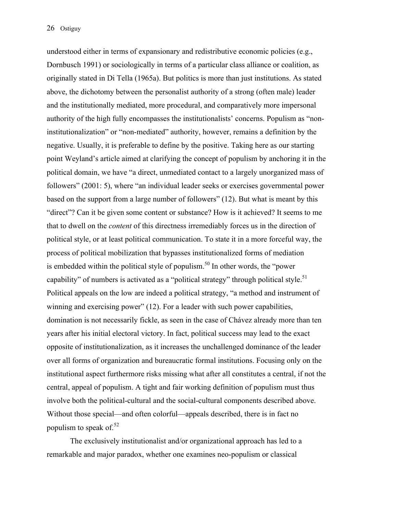understood either in terms of expansionary and redistributive economic policies (e.g., Dornbusch 1991) or sociologically in terms of a particular class alliance or coalition, as originally stated in Di Tella (1965a). But politics is more than just institutions. As stated above, the dichotomy between the personalist authority of a strong (often male) leader and the institutionally mediated, more procedural, and comparatively more impersonal authority of the high fully encompasses the institutionalists' concerns. Populism as "noninstitutionalization" or "non-mediated" authority, however, remains a definition by the negative. Usually, it is preferable to define by the positive. Taking here as our starting point Weyland's article aimed at clarifying the concept of populism by anchoring it in the political domain, we have "a direct, unmediated contact to a largely unorganized mass of followers" (2001: 5), where "an individual leader seeks or exercises governmental power based on the support from a large number of followers" (12). But what is meant by this "direct"? Can it be given some content or substance? How is it achieved? It seems to me that to dwell on the *content* of this directness irremediably forces us in the direction of political style, or at least political communication. To state it in a more forceful way, the process of political mobilization that bypasses institutionalized forms of mediation is embedded within the political style of populism.<sup>50</sup> In other words, the "power" capability" of numbers is activated as a "political strategy" through political style.<sup>51</sup> Political appeals on the low are indeed a political strategy, "a method and instrument of winning and exercising power" (12). For a leader with such power capabilities, domination is not necessarily fickle, as seen in the case of Chávez already more than ten years after his initial electoral victory. In fact, political success may lead to the exact opposite of institutionalization, as it increases the unchallenged dominance of the leader over all forms of organization and bureaucratic formal institutions. Focusing only on the institutional aspect furthermore risks missing what after all constitutes a central, if not the central, appeal of populism. A tight and fair working definition of populism must thus involve both the political-cultural and the social-cultural components described above. Without those special—and often colorful—appeals described, there is in fact no populism to speak of. $52$ 

 The exclusively institutionalist and/or organizational approach has led to a remarkable and major paradox, whether one examines neo-populism or classical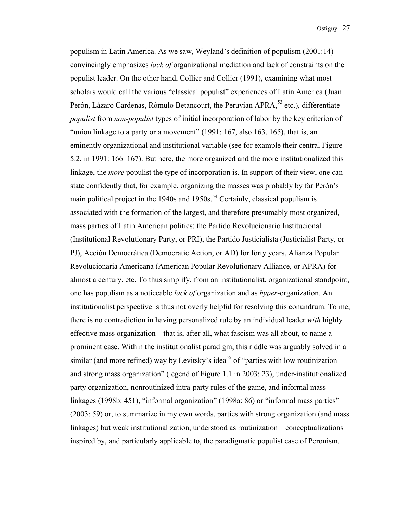populism in Latin America. As we saw, Weyland's definition of populism (2001:14) convincingly emphasizes *lack of* organizational mediation and lack of constraints on the populist leader. On the other hand, Collier and Collier (1991), examining what most scholars would call the various "classical populist" experiences of Latin America (Juan Perón, Lázaro Cardenas, Rómulo Betancourt, the Peruvian APRA,<sup>53</sup> etc.), differentiate *populist* from *non-populist* types of initial incorporation of labor by the key criterion of "union linkage to a party or a movement"  $(1991: 167,$  also 163, 165), that is, an eminently organizational and institutional variable (see for example their central Figure 5.2, in 1991: 166–167). But here, the more organized and the more institutionalized this linkage, the *more* populist the type of incorporation is. In support of their view, one can state confidently that, for example, organizing the masses was probably by far Perón's main political project in the 1940s and 1950s.<sup>54</sup> Certainly, classical populism is associated with the formation of the largest, and therefore presumably most organized, mass parties of Latin American politics: the Partido Revolucionario Institucional (Institutional Revolutionary Party, or PRI), the Partido Justicialista (Justicialist Party, or PJ), Acción Democrática (Democratic Action, or AD) for forty years, Alianza Popular Revolucionaria Americana (American Popular Revolutionary Alliance, or APRA) for almost a century, etc. To thus simplify, from an institutionalist, organizational standpoint, one has populism as a noticeable *lack of* organization and as *hyper*-organization. An institutionalist perspective is thus not overly helpful for resolving this conundrum. To me, there is no contradiction in having personalized rule by an individual leader *with* highly effective mass organization—that is, after all, what fascism was all about, to name a prominent case. Within the institutionalist paradigm, this riddle was arguably solved in a similar (and more refined) way by Levitsky's idea<sup>55</sup> of "parties with low routinization and strong mass organization" (legend of Figure 1.1 in 2003: 23), under-institutionalized party organization, nonroutinized intra-party rules of the game, and informal mass linkages (1998b: 451), "informal organization" (1998a: 86) or "informal mass parties" (2003: 59) or, to summarize in my own words, parties with strong organization (and mass linkages) but weak institutionalization, understood as routinization—conceptualizations inspired by, and particularly applicable to, the paradigmatic populist case of Peronism.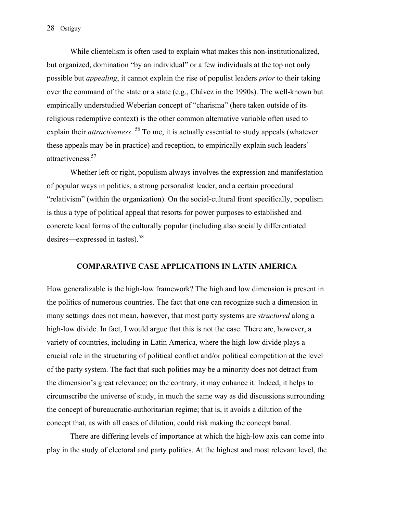While clientelism is often used to explain what makes this non-institutionalized, but organized, domination "by an individual" or a few individuals at the top not only possible but *appealing*, it cannot explain the rise of populist leaders *prior* to their taking over the command of the state or a state (e.g., Chávez in the 1990s). The well-known but empirically understudied Weberian concept of "charisma" (here taken outside of its religious redemptive context) is the other common alternative variable often used to explain their *attractiveness*. 56 To me, it is actually essential to study appeals (whatever these appeals may be in practice) and reception, to empirically explain such leaders' attractiveness.<sup>57</sup>

 Whether left or right, populism always involves the expression and manifestation of popular ways in politics, a strong personalist leader, and a certain procedural "relativism" (within the organization). On the social-cultural front specifically, populism is thus a type of political appeal that resorts for power purposes to established and concrete local forms of the culturally popular (including also socially differentiated desires—expressed in tastes). $58$ 

#### **COMPARATIVE CASE APPLICATIONS IN LATIN AMERICA**

How generalizable is the high-low framework? The high and low dimension is present in the politics of numerous countries. The fact that one can recognize such a dimension in many settings does not mean, however, that most party systems are *structured* along a high-low divide. In fact, I would argue that this is not the case. There are, however, a variety of countries, including in Latin America, where the high-low divide plays a crucial role in the structuring of political conflict and/or political competition at the level of the party system. The fact that such polities may be a minority does not detract from the dimension's great relevance; on the contrary, it may enhance it. Indeed, it helps to circumscribe the universe of study, in much the same way as did discussions surrounding the concept of bureaucratic-authoritarian regime; that is, it avoids a dilution of the concept that, as with all cases of dilution, could risk making the concept banal.

 There are differing levels of importance at which the high-low axis can come into play in the study of electoral and party politics. At the highest and most relevant level, the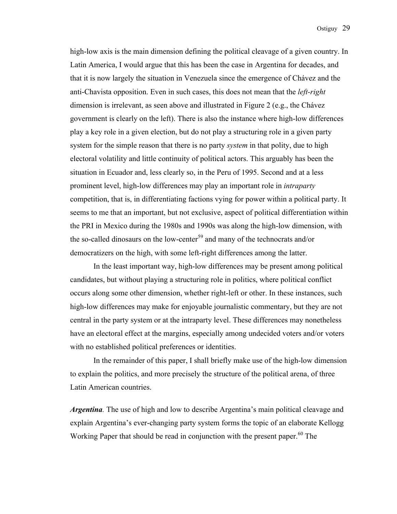high-low axis is the main dimension defining the political cleavage of a given country. In Latin America, I would argue that this has been the case in Argentina for decades, and that it is now largely the situation in Venezuela since the emergence of Chávez and the anti-Chavista opposition. Even in such cases, this does not mean that the *left-right* dimension is irrelevant, as seen above and illustrated in Figure 2 (e.g., the Chávez government is clearly on the left). There is also the instance where high-low differences play a key role in a given election, but do not play a structuring role in a given party system for the simple reason that there is no party *system* in that polity, due to high electoral volatility and little continuity of political actors. This arguably has been the situation in Ecuador and, less clearly so, in the Peru of 1995. Second and at a less prominent level, high-low differences may play an important role in *intraparty* competition, that is, in differentiating factions vying for power within a political party. It seems to me that an important, but not exclusive, aspect of political differentiation within the PRI in Mexico during the 1980s and 1990s was along the high-low dimension, with the so-called dinosaurs on the low-center<sup>59</sup> and many of the technocrats and/or democratizers on the high, with some left-right differences among the latter.

 In the least important way, high-low differences may be present among political candidates, but without playing a structuring role in politics, where political conflict occurs along some other dimension, whether right-left or other. In these instances, such high-low differences may make for enjoyable journalistic commentary, but they are not central in the party system or at the intraparty level. These differences may nonetheless have an electoral effect at the margins, especially among undecided voters and/or voters with no established political preferences or identities.

 In the remainder of this paper, I shall briefly make use of the high-low dimension to explain the politics, and more precisely the structure of the political arena, of three Latin American countries.

*Argentina.* The use of high and low to describe Argentina's main political cleavage and explain Argentina's ever-changing party system forms the topic of an elaborate Kellogg Working Paper that should be read in conjunction with the present paper.<sup>60</sup> The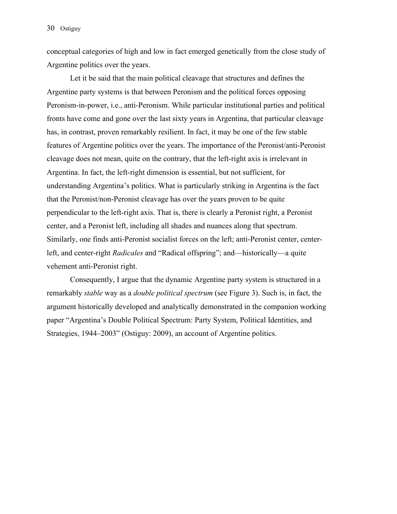conceptual categories of high and low in fact emerged genetically from the close study of Argentine politics over the years.

 Let it be said that the main political cleavage that structures and defines the Argentine party systems is that between Peronism and the political forces opposing Peronism-in-power, i.e., anti-Peronism. While particular institutional parties and political fronts have come and gone over the last sixty years in Argentina, that particular cleavage has, in contrast, proven remarkably resilient. In fact, it may be one of the few stable features of Argentine politics over the years. The importance of the Peronist/anti-Peronist cleavage does not mean, quite on the contrary, that the left-right axis is irrelevant in Argentina. In fact, the left-right dimension is essential, but not sufficient, for understanding Argentina's politics. What is particularly striking in Argentina is the fact that the Peronist/non-Peronist cleavage has over the years proven to be quite perpendicular to the left-right axis. That is, there is clearly a Peronist right, a Peronist center, and a Peronist left, including all shades and nuances along that spectrum. Similarly, one finds anti-Peronist socialist forces on the left; anti-Peronist center, centerleft, and center-right *Radicales* and "Radical offspring"; and—historically—a quite vehement anti-Peronist right.

 Consequently, I argue that the dynamic Argentine party system is structured in a remarkably *stable* way as a *double political spectrum* (see Figure 3). Such is, in fact, the argument historically developed and analytically demonstrated in the companion working paper "Argentina's Double Political Spectrum: Party System, Political Identities, and Strategies, 1944–2003" (Ostiguy: 2009), an account of Argentine politics.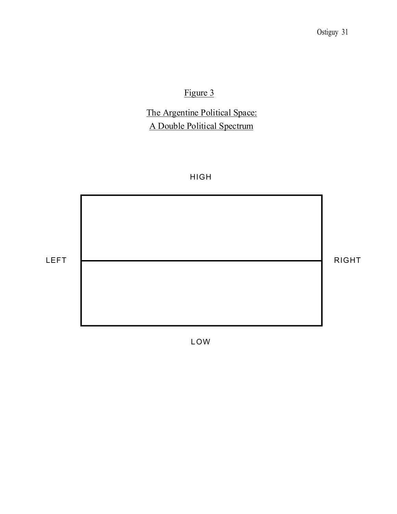# Figure 3

# The Argentine Political Space: A Double Political Spectrum

# HIGH



L OW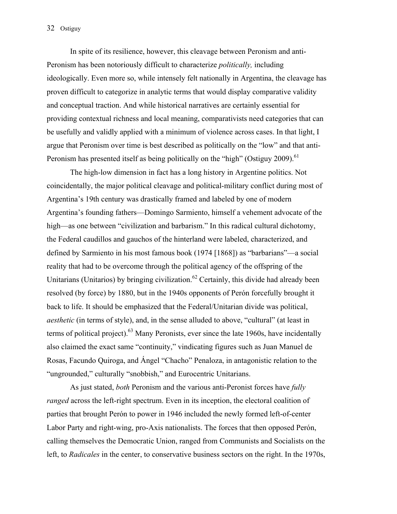In spite of its resilience, however, this cleavage between Peronism and anti-Peronism has been notoriously difficult to characterize *politically,* including ideologically. Even more so, while intensely felt nationally in Argentina, the cleavage has proven difficult to categorize in analytic terms that would display comparative validity and conceptual traction. And while historical narratives are certainly essential for providing contextual richness and local meaning, comparativists need categories that can be usefully and validly applied with a minimum of violence across cases. In that light, I argue that Peronism over time is best described as politically on the "low" and that anti-Peronism has presented itself as being politically on the "high" (Ostiguy 2009).<sup>61</sup>

 The high-low dimension in fact has a long history in Argentine politics. Not coincidentally, the major political cleavage and political-military conflict during most of Argentina's 19th century was drastically framed and labeled by one of modern Argentina's founding fathers—Domingo Sarmiento, himself a vehement advocate of the high—as one between "civilization and barbarism." In this radical cultural dichotomy, the Federal caudillos and gauchos of the hinterland were labeled, characterized, and defined by Sarmiento in his most famous book (1974 [1868]) as "barbarians"—a social reality that had to be overcome through the political agency of the offspring of the Unitarians (Unitarios) by bringing civilization.<sup>62</sup> Certainly, this divide had already been resolved (by force) by 1880, but in the 1940s opponents of Perón forcefully brought it back to life. It should be emphasized that the Federal/Unitarian divide was political, *aesthetic* (in terms of style), and, in the sense alluded to above, "cultural" (at least in terms of political project).<sup>63</sup> Many Peronists, ever since the late 1960s, have incidentally also claimed the exact same "continuity," vindicating figures such as Juan Manuel de Rosas, Facundo Quiroga, and Ángel "Chacho" Penaloza, in antagonistic relation to the "ungrounded," culturally "snobbish," and Eurocentric Unitarians.

 As just stated, *both* Peronism and the various anti-Peronist forces have *fully ranged* across the left-right spectrum. Even in its inception, the electoral coalition of parties that brought Perón to power in 1946 included the newly formed left-of-center Labor Party and right-wing, pro-Axis nationalists. The forces that then opposed Perón, calling themselves the Democratic Union, ranged from Communists and Socialists on the left, to *Radicales* in the center, to conservative business sectors on the right. In the 1970s,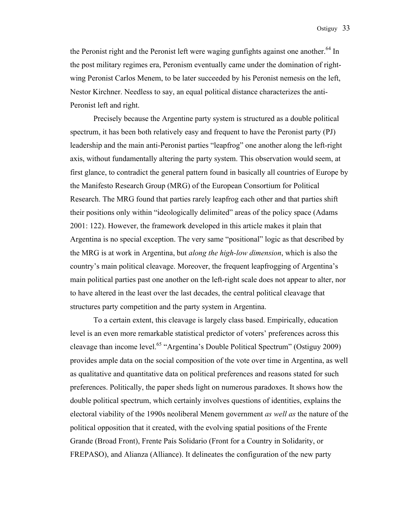the Peronist right and the Peronist left were waging gunfights against one another.<sup>64</sup> In the post military regimes era, Peronism eventually came under the domination of rightwing Peronist Carlos Menem, to be later succeeded by his Peronist nemesis on the left, Nestor Kirchner. Needless to say, an equal political distance characterizes the anti-Peronist left and right.

 Precisely because the Argentine party system is structured as a double political spectrum, it has been both relatively easy and frequent to have the Peronist party (PJ) leadership and the main anti-Peronist parties "leapfrog" one another along the left-right axis, without fundamentally altering the party system. This observation would seem, at first glance, to contradict the general pattern found in basically all countries of Europe by the Manifesto Research Group (MRG) of the European Consortium for Political Research. The MRG found that parties rarely leapfrog each other and that parties shift their positions only within "ideologically delimited" areas of the policy space (Adams 2001: 122). However, the framework developed in this article makes it plain that Argentina is no special exception. The very same "positional" logic as that described by the MRG is at work in Argentina, but *along the high-low dimension*, which is also the country's main political cleavage. Moreover, the frequent leapfrogging of Argentina's main political parties past one another on the left-right scale does not appear to alter, nor to have altered in the least over the last decades, the central political cleavage that structures party competition and the party system in Argentina.

 To a certain extent, this cleavage is largely class based. Empirically, education level is an even more remarkable statistical predictor of voters' preferences across this cleavage than income level.65 "Argentina's Double Political Spectrum" (Ostiguy 2009) provides ample data on the social composition of the vote over time in Argentina, as well as qualitative and quantitative data on political preferences and reasons stated for such preferences. Politically, the paper sheds light on numerous paradoxes. It shows how the double political spectrum, which certainly involves questions of identities, explains the electoral viability of the 1990s neoliberal Menem government *as well as* the nature of the political opposition that it created, with the evolving spatial positions of the Frente Grande (Broad Front), Frente País Solidario (Front for a Country in Solidarity, or FREPASO), and Alianza (Alliance). It delineates the configuration of the new party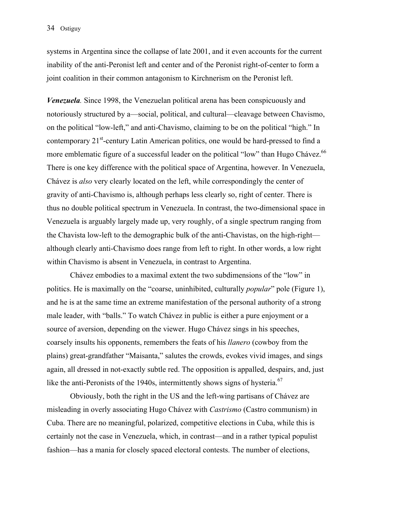systems in Argentina since the collapse of late 2001, and it even accounts for the current inability of the anti-Peronist left and center and of the Peronist right-of-center to form a joint coalition in their common antagonism to Kirchnerism on the Peronist left.

*Venezuela.* Since 1998, the Venezuelan political arena has been conspicuously and notoriously structured by a—social, political, and cultural—cleavage between Chavismo, on the political "low-left," and anti-Chavismo, claiming to be on the political "high." In contemporary 21<sup>st</sup>-century Latin American politics, one would be hard-pressed to find a more emblematic figure of a successful leader on the political "low" than Hugo Chávez.<sup>66</sup> There is one key difference with the political space of Argentina, however. In Venezuela, Chávez is *also* very clearly located on the left, while correspondingly the center of gravity of anti-Chavismo is, although perhaps less clearly so, right of center. There is thus no double political spectrum in Venezuela. In contrast, the two-dimensional space in Venezuela is arguably largely made up, very roughly, of a single spectrum ranging from the Chavista low-left to the demographic bulk of the anti-Chavistas, on the high-right although clearly anti-Chavismo does range from left to right. In other words, a low right within Chavismo is absent in Venezuela, in contrast to Argentina.

 Chávez embodies to a maximal extent the two subdimensions of the "low" in politics. He is maximally on the "coarse, uninhibited, culturally *popular*" pole (Figure 1), and he is at the same time an extreme manifestation of the personal authority of a strong male leader, with "balls." To watch Chávez in public is either a pure enjoyment or a source of aversion, depending on the viewer. Hugo Chávez sings in his speeches, coarsely insults his opponents, remembers the feats of his *llanero* (cowboy from the plains) great-grandfather "Maisanta," salutes the crowds, evokes vivid images, and sings again, all dressed in not-exactly subtle red. The opposition is appalled, despairs, and, just like the anti-Peronists of the 1940s, intermittently shows signs of hysteria.<sup>67</sup>

 Obviously, both the right in the US and the left-wing partisans of Chávez are misleading in overly associating Hugo Chávez with *Castrismo* (Castro communism) in Cuba. There are no meaningful, polarized, competitive elections in Cuba, while this is certainly not the case in Venezuela, which, in contrast—and in a rather typical populist fashion—has a mania for closely spaced electoral contests. The number of elections,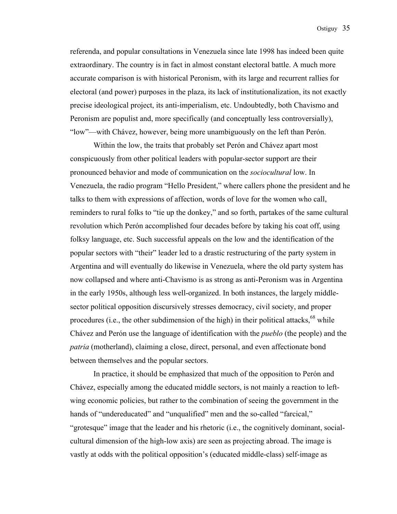referenda, and popular consultations in Venezuela since late 1998 has indeed been quite extraordinary. The country is in fact in almost constant electoral battle. A much more accurate comparison is with historical Peronism, with its large and recurrent rallies for electoral (and power) purposes in the plaza, its lack of institutionalization, its not exactly precise ideological project, its anti-imperialism, etc. Undoubtedly, both Chavismo and Peronism are populist and, more specifically (and conceptually less controversially), "low"—with Chávez, however, being more unambiguously on the left than Perón.

 Within the low, the traits that probably set Perón and Chávez apart most conspicuously from other political leaders with popular-sector support are their pronounced behavior and mode of communication on the *sociocultural* low. In Venezuela, the radio program "Hello President," where callers phone the president and he talks to them with expressions of affection, words of love for the women who call, reminders to rural folks to "tie up the donkey," and so forth, partakes of the same cultural revolution which Perón accomplished four decades before by taking his coat off, using folksy language, etc. Such successful appeals on the low and the identification of the popular sectors with "their" leader led to a drastic restructuring of the party system in Argentina and will eventually do likewise in Venezuela, where the old party system has now collapsed and where anti-Chavismo is as strong as anti-Peronism was in Argentina in the early 1950s, although less well-organized. In both instances, the largely middlesector political opposition discursively stresses democracy, civil society, and proper procedures (i.e., the other subdimension of the high) in their political attacks, $68$  while Chávez and Perón use the language of identification with the *pueblo* (the people) and the *patria* (motherland), claiming a close, direct, personal, and even affectionate bond between themselves and the popular sectors.

 In practice, it should be emphasized that much of the opposition to Perón and Chávez, especially among the educated middle sectors, is not mainly a reaction to leftwing economic policies, but rather to the combination of seeing the government in the hands of "undereducated" and "unqualified" men and the so-called "farcical," "grotesque" image that the leader and his rhetoric (i.e., the cognitively dominant, socialcultural dimension of the high-low axis) are seen as projecting abroad. The image is vastly at odds with the political opposition's (educated middle-class) self-image as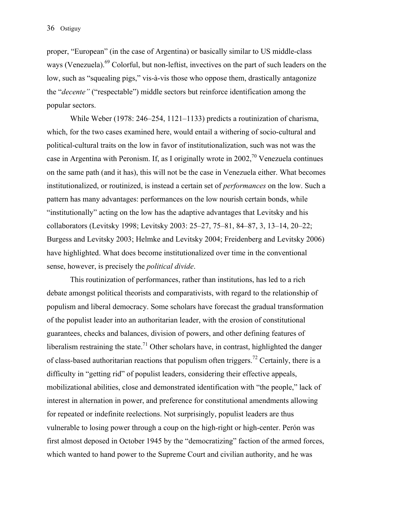proper, "European" (in the case of Argentina) or basically similar to US middle-class ways (Venezuela).<sup>69</sup> Colorful, but non-leftist, invectives on the part of such leaders on the low, such as "squealing pigs," vis-à-vis those who oppose them, drastically antagonize the "*decente"* ("respectable") middle sectors but reinforce identification among the popular sectors.

 While Weber (1978: 246–254, 1121–1133) predicts a routinization of charisma, which, for the two cases examined here, would entail a withering of socio-cultural and political-cultural traits on the low in favor of institutionalization, such was not was the case in Argentina with Peronism. If, as I originally wrote in 2002,<sup>70</sup> Venezuela continues on the same path (and it has), this will not be the case in Venezuela either. What becomes institutionalized, or routinized, is instead a certain set of *performances* on the low. Such a pattern has many advantages: performances on the low nourish certain bonds, while "institutionally" acting on the low has the adaptive advantages that Levitsky and his collaborators (Levitsky 1998; Levitsky 2003: 25–27, 75–81, 84–87, 3, 13–14, 20–22; Burgess and Levitsky 2003; Helmke and Levitsky 2004; Freidenberg and Levitsky 2006) have highlighted. What does become institutionalized over time in the conventional sense, however, is precisely the *political divide*.

 This routinization of performances, rather than institutions, has led to a rich debate amongst political theorists and comparativists, with regard to the relationship of populism and liberal democracy. Some scholars have forecast the gradual transformation of the populist leader into an authoritarian leader, with the erosion of constitutional guarantees, checks and balances, division of powers, and other defining features of liberalism restraining the state.<sup>71</sup> Other scholars have, in contrast, highlighted the danger of class-based authoritarian reactions that populism often triggers.<sup>72</sup> Certainly, there is a difficulty in "getting rid" of populist leaders, considering their effective appeals, mobilizational abilities, close and demonstrated identification with "the people," lack of interest in alternation in power, and preference for constitutional amendments allowing for repeated or indefinite reelections. Not surprisingly, populist leaders are thus vulnerable to losing power through a coup on the high-right or high-center. Perón was first almost deposed in October 1945 by the "democratizing" faction of the armed forces, which wanted to hand power to the Supreme Court and civilian authority, and he was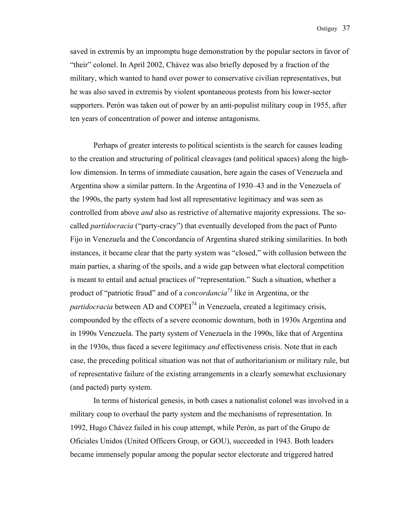saved in extremis by an impromptu huge demonstration by the popular sectors in favor of "their" colonel. In April 2002, Chávez was also briefly deposed by a fraction of the military, which wanted to hand over power to conservative civilian representatives, but he was also saved in extremis by violent spontaneous protests from his lower-sector supporters. Perón was taken out of power by an anti-populist military coup in 1955, after ten years of concentration of power and intense antagonisms.

 Perhaps of greater interests to political scientists is the search for causes leading to the creation and structuring of political cleavages (and political spaces) along the highlow dimension. In terms of immediate causation, here again the cases of Venezuela and Argentina show a similar pattern. In the Argentina of 1930–43 and in the Venezuela of the 1990s, the party system had lost all representative legitimacy and was seen as controlled from above *and* also as restrictive of alternative majority expressions. The socalled *partidocracia* ("party-cracy") that eventually developed from the pact of Punto Fijo in Venezuela and the Concordancia of Argentina shared striking similarities. In both instances, it became clear that the party system was "closed," with collusion between the main parties, a sharing of the spoils, and a wide gap between what electoral competition is meant to entail and actual practices of "representation." Such a situation, whether a product of "patriotic fraud" and of a *concordancia73* like in Argentina, or the *partidocracia* between AD and COPEI<sup>74</sup> in Venezuela, created a legitimacy crisis, compounded by the effects of a severe economic downturn, both in 1930s Argentina and in 1990s Venezuela. The party system of Venezuela in the 1990s, like that of Argentina in the 1930s, thus faced a severe legitimacy *and* effectiveness crisis. Note that in each case, the preceding political situation was not that of authoritarianism or military rule, but of representative failure of the existing arrangements in a clearly somewhat exclusionary (and pacted) party system.

 In terms of historical genesis, in both cases a nationalist colonel was involved in a military coup to overhaul the party system and the mechanisms of representation. In 1992, Hugo Chávez failed in his coup attempt, while Perón, as part of the Grupo de Oficiales Unidos (United Officers Group, or GOU), succeeded in 1943. Both leaders became immensely popular among the popular sector electorate and triggered hatred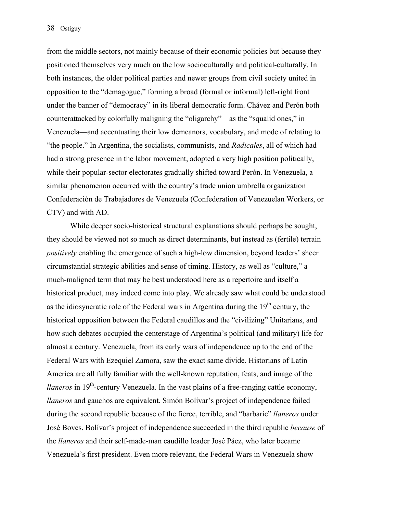from the middle sectors, not mainly because of their economic policies but because they positioned themselves very much on the low socioculturally and political-culturally. In both instances, the older political parties and newer groups from civil society united in opposition to the "demagogue," forming a broad (formal or informal) left-right front under the banner of "democracy" in its liberal democratic form. Chávez and Perón both counterattacked by colorfully maligning the "oligarchy"—as the "squalid ones," in Venezuela—and accentuating their low demeanors, vocabulary, and mode of relating to "the people." In Argentina, the socialists, communists, and *Radicales*, all of which had had a strong presence in the labor movement, adopted a very high position politically, while their popular-sector electorates gradually shifted toward Perón. In Venezuela, a similar phenomenon occurred with the country's trade union umbrella organization Confederación de Trabajadores de Venezuela (Confederation of Venezuelan Workers, or CTV) and with AD.

 While deeper socio-historical structural explanations should perhaps be sought, they should be viewed not so much as direct determinants, but instead as (fertile) terrain *positively* enabling the emergence of such a high-low dimension, beyond leaders' sheer circumstantial strategic abilities and sense of timing. History, as well as "culture," a much-maligned term that may be best understood here as a repertoire and itself a historical product, may indeed come into play. We already saw what could be understood as the idiosyncratic role of the Federal wars in Argentina during the  $19<sup>th</sup>$  century, the historical opposition between the Federal caudillos and the "civilizing" Unitarians, and how such debates occupied the centerstage of Argentina's political (and military) life for almost a century. Venezuela, from its early wars of independence up to the end of the Federal Wars with Ezequiel Zamora, saw the exact same divide. Historians of Latin America are all fully familiar with the well-known reputation, feats, and image of the *llaneros* in 19<sup>th</sup>-century Venezuela. In the vast plains of a free-ranging cattle economy, *llaneros* and gauchos are equivalent. Simón Bolívar's project of independence failed during the second republic because of the fierce, terrible, and "barbaric" *llaneros* under José Boves. Bolívar's project of independence succeeded in the third republic *because* of the *llaneros* and their self-made-man caudillo leader José Páez, who later became Venezuela's first president. Even more relevant, the Federal Wars in Venezuela show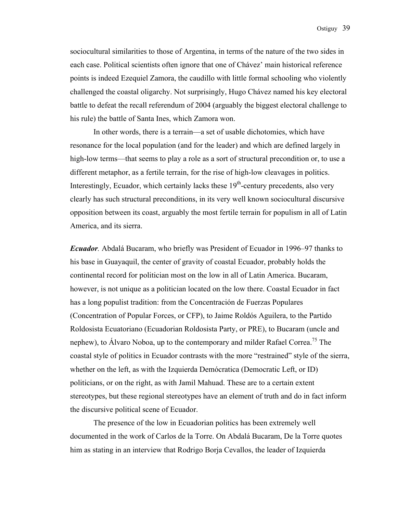sociocultural similarities to those of Argentina, in terms of the nature of the two sides in each case. Political scientists often ignore that one of Chávez' main historical reference points is indeed Ezequiel Zamora, the caudillo with little formal schooling who violently challenged the coastal oligarchy. Not surprisingly, Hugo Chávez named his key electoral battle to defeat the recall referendum of 2004 (arguably the biggest electoral challenge to his rule) the battle of Santa Ines, which Zamora won.

 In other words, there is a terrain—a set of usable dichotomies, which have resonance for the local population (and for the leader) and which are defined largely in high-low terms—that seems to play a role as a sort of structural precondition or, to use a different metaphor, as a fertile terrain, for the rise of high-low cleavages in politics. Interestingly, Ecuador, which certainly lacks these  $19<sup>th</sup>$ -century precedents, also very clearly has such structural preconditions, in its very well known sociocultural discursive opposition between its coast, arguably the most fertile terrain for populism in all of Latin America, and its sierra.

*Ecuador.* Abdalá Bucaram, who briefly was President of Ecuador in 1996–97 thanks to his base in Guayaquil, the center of gravity of coastal Ecuador, probably holds the continental record for politician most on the low in all of Latin America. Bucaram, however, is not unique as a politician located on the low there. Coastal Ecuador in fact has a long populist tradition: from the Concentración de Fuerzas Populares (Concentration of Popular Forces, or CFP), to Jaime Roldós Aguilera, to the Partido Roldosista Ecuatoriano (Ecuadorian Roldosista Party, or PRE), to Bucaram (uncle and nephew), to Álvaro Noboa, up to the contemporary and milder Rafael Correa.<sup>75</sup> The coastal style of politics in Ecuador contrasts with the more "restrained" style of the sierra, whether on the left, as with the Izquierda Demócratica (Democratic Left, or ID) politicians, or on the right, as with Jamil Mahuad. These are to a certain extent stereotypes, but these regional stereotypes have an element of truth and do in fact inform the discursive political scene of Ecuador.

 The presence of the low in Ecuadorian politics has been extremely well documented in the work of Carlos de la Torre. On Abdalá Bucaram, De la Torre quotes him as stating in an interview that Rodrigo Borja Cevallos, the leader of Izquierda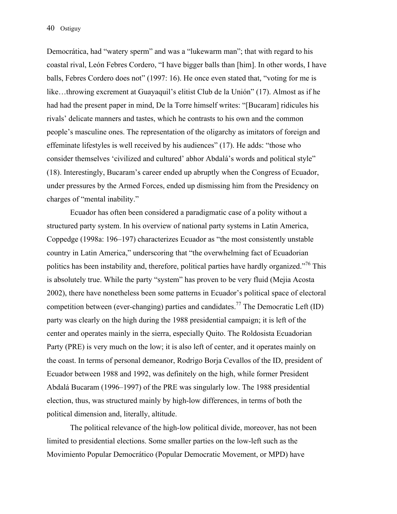Democrática, had "watery sperm" and was a "lukewarm man"; that with regard to his coastal rival, León Febres Cordero, "I have bigger balls than [him]. In other words, I have balls, Febres Cordero does not" (1997: 16). He once even stated that, "voting for me is like…throwing excrement at Guayaquil's elitist Club de la Unión" (17). Almost as if he had had the present paper in mind, De la Torre himself writes: "[Bucaram] ridicules his rivals' delicate manners and tastes, which he contrasts to his own and the common people's masculine ones. The representation of the oligarchy as imitators of foreign and effeminate lifestyles is well received by his audiences" (17). He adds: "those who consider themselves 'civilized and cultured' abhor Abdalá's words and political style" (18). Interestingly, Bucaram's career ended up abruptly when the Congress of Ecuador, under pressures by the Armed Forces, ended up dismissing him from the Presidency on charges of "mental inability."

 Ecuador has often been considered a paradigmatic case of a polity without a structured party system. In his overview of national party systems in Latin America, Coppedge (1998a: 196–197) characterizes Ecuador as "the most consistently unstable country in Latin America," underscoring that "the overwhelming fact of Ecuadorian politics has been instability and, therefore, political parties have hardly organized."<sup>76</sup> This is absolutely true. While the party "system" has proven to be very fluid (Mejia Acosta 2002), there have nonetheless been some patterns in Ecuador's political space of electoral competition between (ever-changing) parties and candidates.<sup>77</sup> The Democratic Left (ID) party was clearly on the high during the 1988 presidential campaign; it is left of the center and operates mainly in the sierra, especially Quito. The Roldosista Ecuadorian Party (PRE) is very much on the low; it is also left of center, and it operates mainly on the coast. In terms of personal demeanor, Rodrigo Borja Cevallos of the ID, president of Ecuador between 1988 and 1992, was definitely on the high, while former President Abdalá Bucaram (1996–1997) of the PRE was singularly low. The 1988 presidential election, thus, was structured mainly by high-low differences, in terms of both the political dimension and, literally, altitude.

 The political relevance of the high-low political divide, moreover, has not been limited to presidential elections. Some smaller parties on the low-left such as the Movimiento Popular Democrático (Popular Democratic Movement, or MPD) have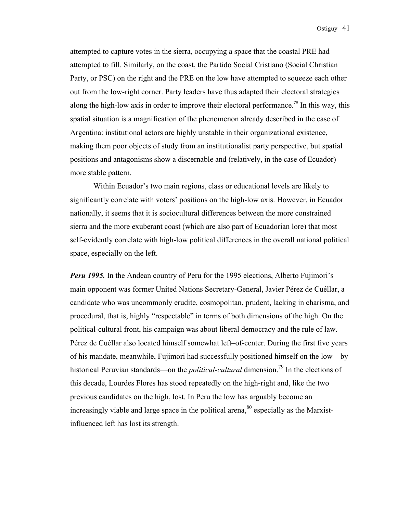attempted to capture votes in the sierra, occupying a space that the coastal PRE had attempted to fill. Similarly, on the coast, the Partido Social Cristiano (Social Christian Party, or PSC) on the right and the PRE on the low have attempted to squeeze each other out from the low-right corner. Party leaders have thus adapted their electoral strategies along the high-low axis in order to improve their electoral performance.<sup>78</sup> In this way, this spatial situation is a magnification of the phenomenon already described in the case of Argentina: institutional actors are highly unstable in their organizational existence, making them poor objects of study from an institutionalist party perspective, but spatial positions and antagonisms show a discernable and (relatively, in the case of Ecuador) more stable pattern.

 Within Ecuador's two main regions, class or educational levels are likely to significantly correlate with voters' positions on the high-low axis. However, in Ecuador nationally, it seems that it is sociocultural differences between the more constrained sierra and the more exuberant coast (which are also part of Ecuadorian lore) that most self-evidently correlate with high-low political differences in the overall national political space, especially on the left.

*Peru 1995.* In the Andean country of Peru for the 1995 elections, Alberto Fujimori's main opponent was former United Nations Secretary-General, Javier Pérez de Cuéllar, a candidate who was uncommonly erudite, cosmopolitan, prudent, lacking in charisma, and procedural, that is, highly "respectable" in terms of both dimensions of the high. On the political-cultural front, his campaign was about liberal democracy and the rule of law. Pérez de Cuéllar also located himself somewhat left–of-center. During the first five years of his mandate, meanwhile, Fujimori had successfully positioned himself on the low—by historical Peruvian standards—on the *political-cultural* dimension.<sup>79</sup> In the elections of this decade, Lourdes Flores has stood repeatedly on the high-right and, like the two previous candidates on the high, lost. In Peru the low has arguably become an increasingly viable and large space in the political arena,  $80$  especially as the Marxistinfluenced left has lost its strength.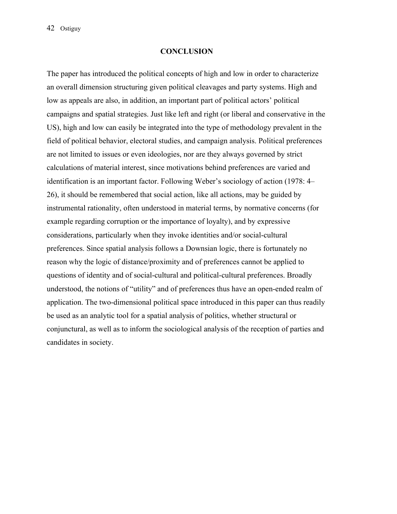#### **CONCLUSION**

The paper has introduced the political concepts of high and low in order to characterize an overall dimension structuring given political cleavages and party systems. High and low as appeals are also, in addition, an important part of political actors' political campaigns and spatial strategies. Just like left and right (or liberal and conservative in the US), high and low can easily be integrated into the type of methodology prevalent in the field of political behavior, electoral studies, and campaign analysis. Political preferences are not limited to issues or even ideologies, nor are they always governed by strict calculations of material interest, since motivations behind preferences are varied and identification is an important factor. Following Weber's sociology of action (1978: 4– 26), it should be remembered that social action, like all actions, may be guided by instrumental rationality, often understood in material terms, by normative concerns (for example regarding corruption or the importance of loyalty), and by expressive considerations, particularly when they invoke identities and/or social-cultural preferences. Since spatial analysis follows a Downsian logic, there is fortunately no reason why the logic of distance/proximity and of preferences cannot be applied to questions of identity and of social-cultural and political-cultural preferences. Broadly understood, the notions of "utility" and of preferences thus have an open-ended realm of application. The two-dimensional political space introduced in this paper can thus readily be used as an analytic tool for a spatial analysis of politics, whether structural or conjunctural, as well as to inform the sociological analysis of the reception of parties and candidates in society.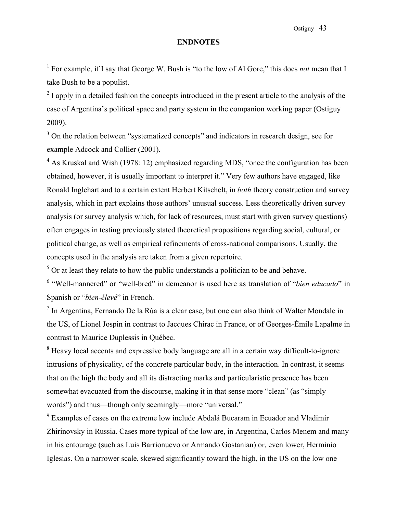#### **ENDNOTES**

<sup>1</sup> For example, if I say that George W. Bush is "to the low of Al Gore," this does *not* mean that I take Bush to be a populist.

 $2<sup>2</sup>$  I apply in a detailed fashion the concepts introduced in the present article to the analysis of the case of Argentina's political space and party system in the companion working paper (Ostiguy 2009).

 $3$  On the relation between "systematized concepts" and indicators in research design, see for example Adcock and Collier (2001).

 $4$  As Kruskal and Wish (1978: 12) emphasized regarding MDS, "once the configuration has been obtained, however, it is usually important to interpret it." Very few authors have engaged, like Ronald Inglehart and to a certain extent Herbert Kitschelt, in *both* theory construction and survey analysis, which in part explains those authors' unusual success. Less theoretically driven survey analysis (or survey analysis which, for lack of resources, must start with given survey questions) often engages in testing previously stated theoretical propositions regarding social, cultural, or political change, as well as empirical refinements of cross-national comparisons. Usually, the concepts used in the analysis are taken from a given repertoire.

 $<sup>5</sup>$  Or at least they relate to how the public understands a politician to be and behave.</sup>

<sup>6</sup> "Well-mannered" or "well-bred" in demeanor is used here as translation of "*bien educado*" in Spanish or "*bien-élevé*" in French.

 $<sup>7</sup>$  In Argentina, Fernando De la Rúa is a clear case, but one can also think of Walter Mondale in</sup> the US, of Lionel Jospin in contrast to Jacques Chirac in France, or of Georges-Émile Lapalme in contrast to Maurice Duplessis in Québec.

<sup>8</sup> Heavy local accents and expressive body language are all in a certain way difficult-to-ignore intrusions of physicality, of the concrete particular body, in the interaction. In contrast, it seems that on the high the body and all its distracting marks and particularistic presence has been somewhat evacuated from the discourse, making it in that sense more "clean" (as "simply words") and thus—though only seemingly—more "universal."

 $9^9$  Examples of cases on the extreme low include Abdalá Bucaram in Ecuador and Vladimir Zhirinovsky in Russia. Cases more typical of the low are, in Argentina, Carlos Menem and many in his entourage (such as Luis Barrionuevo or Armando Gostanian) or, even lower, Herminio Iglesias. On a narrower scale, skewed significantly toward the high, in the US on the low one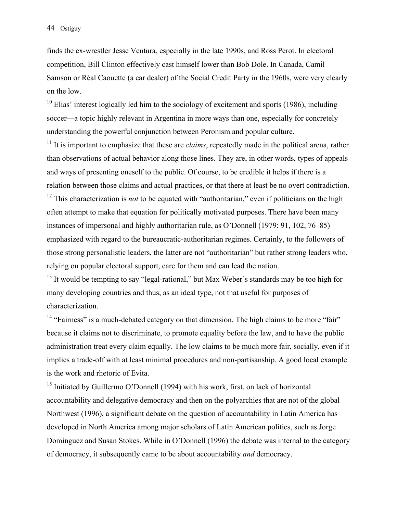finds the ex-wrestler Jesse Ventura, especially in the late 1990s, and Ross Perot. In electoral competition, Bill Clinton effectively cast himself lower than Bob Dole. In Canada, Camil Samson or Réal Caouette (a car dealer) of the Social Credit Party in the 1960s, were very clearly on the low.

 $10$  Elias' interest logically led him to the sociology of excitement and sports (1986), including soccer—a topic highly relevant in Argentina in more ways than one, especially for concretely understanding the powerful conjunction between Peronism and popular culture.

<sup>11</sup> It is important to emphasize that these are *claims*, repeatedly made in the political arena, rather than observations of actual behavior along those lines. They are, in other words, types of appeals and ways of presenting oneself to the public. Of course, to be credible it helps if there is a relation between those claims and actual practices, or that there at least be no overt contradiction. <sup>12</sup> This characterization is *not* to be equated with "authoritarian," even if politicians on the high often attempt to make that equation for politically motivated purposes. There have been many instances of impersonal and highly authoritarian rule, as O'Donnell (1979: 91, 102, 76–85) emphasized with regard to the bureaucratic-authoritarian regimes. Certainly, to the followers of those strong personalistic leaders, the latter are not "authoritarian" but rather strong leaders who, relying on popular electoral support, care for them and can lead the nation.

<sup>13</sup> It would be tempting to say "legal-rational," but Max Weber's standards may be too high for many developing countries and thus, as an ideal type, not that useful for purposes of characterization.

 $14$  "Fairness" is a much-debated category on that dimension. The high claims to be more "fair" because it claims not to discriminate, to promote equality before the law, and to have the public administration treat every claim equally. The low claims to be much more fair, socially, even if it implies a trade-off with at least minimal procedures and non-partisanship. A good local example is the work and rhetoric of Evita.

<sup>15</sup> Initiated by Guillermo O'Donnell (1994) with his work, first, on lack of horizontal accountability and delegative democracy and then on the polyarchies that are not of the global Northwest (1996), a significant debate on the question of accountability in Latin America has developed in North America among major scholars of Latin American politics, such as Jorge Dominguez and Susan Stokes. While in O'Donnell (1996) the debate was internal to the category of democracy, it subsequently came to be about accountability *and* democracy.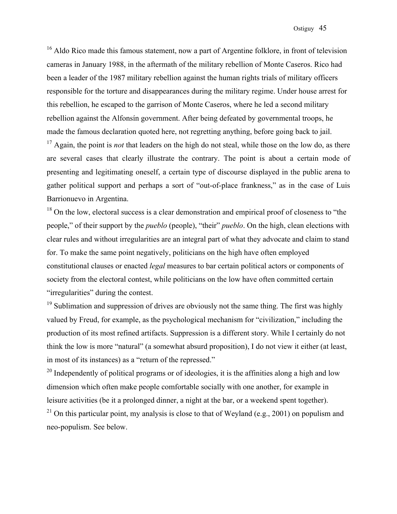$16$  Aldo Rico made this famous statement, now a part of Argentine folklore, in front of television cameras in January 1988, in the aftermath of the military rebellion of Monte Caseros. Rico had been a leader of the 1987 military rebellion against the human rights trials of military officers responsible for the torture and disappearances during the military regime. Under house arrest for this rebellion, he escaped to the garrison of Monte Caseros, where he led a second military rebellion against the Alfonsín government. After being defeated by governmental troops, he made the famous declaration quoted here, not regretting anything, before going back to jail. <sup>17</sup> Again, the point is *not* that leaders on the high do not steal, while those on the low do, as there are several cases that clearly illustrate the contrary. The point is about a certain mode of presenting and legitimating oneself, a certain type of discourse displayed in the public arena to gather political support and perhaps a sort of "out-of-place frankness," as in the case of Luis Barrionuevo in Argentina.

 $18$  On the low, electoral success is a clear demonstration and empirical proof of closeness to "the people," of their support by the *pueblo* (people), "their" *pueblo*. On the high, clean elections with clear rules and without irregularities are an integral part of what they advocate and claim to stand for. To make the same point negatively, politicians on the high have often employed constitutional clauses or enacted *legal* measures to bar certain political actors or components of society from the electoral contest, while politicians on the low have often committed certain "irregularities" during the contest.

 $19$  Sublimation and suppression of drives are obviously not the same thing. The first was highly valued by Freud, for example, as the psychological mechanism for "civilization," including the production of its most refined artifacts. Suppression is a different story. While I certainly do not think the low is more "natural" (a somewhat absurd proposition), I do not view it either (at least, in most of its instances) as a "return of the repressed."

<sup>20</sup> Independently of political programs or of ideologies, it is the affinities along a high and low dimension which often make people comfortable socially with one another, for example in leisure activities (be it a prolonged dinner, a night at the bar, or a weekend spent together).

<sup>21</sup> On this particular point, my analysis is close to that of Weyland (e.g., 2001) on populism and neo-populism. See below.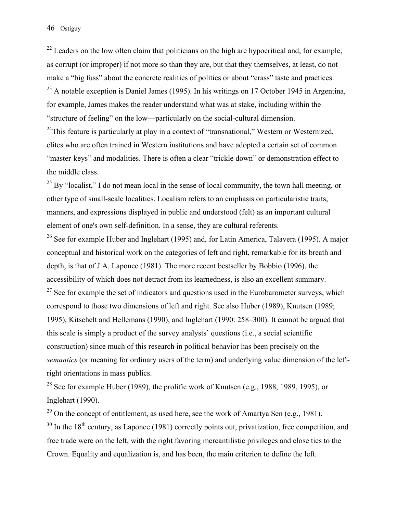$^{22}$  Leaders on the low often claim that politicians on the high are hypocritical and, for example, as corrupt (or improper) if not more so than they are, but that they themselves, at least, do not make a "big fuss" about the concrete realities of politics or about "crass" taste and practices.  $^{23}$  A notable exception is Daniel James (1995). In his writings on 17 October 1945 in Argentina, for example, James makes the reader understand what was at stake, including within the "structure of feeling" on the low—particularly on the social-cultural dimension.

 $24$ This feature is particularly at play in a context of "transnational," Western or Westernized, elites who are often trained in Western institutions and have adopted a certain set of common "master-keys" and modalities. There is often a clear "trickle down" or demonstration effect to the middle class.

 $^{25}$  By "localist," I do not mean local in the sense of local community, the town hall meeting, or other type of small-scale localities. Localism refers to an emphasis on particularistic traits, manners, and expressions displayed in public and understood (felt) as an important cultural element of one's own self-definition. In a sense, they are cultural referents.

<sup>26</sup> See for example Huber and Inglehart (1995) and, for Latin America, Talavera (1995). A major conceptual and historical work on the categories of left and right, remarkable for its breath and depth, is that of J.A. Laponce (1981). The more recent bestseller by Bobbio (1996), the accessibility of which does not detract from its learnedness, is also an excellent summary.

 $27$  See for example the set of indicators and questions used in the Eurobarometer surveys, which correspond to those two dimensions of left and right. See also Huber (1989), Knutsen (1989; 1995), Kitschelt and Hellemans (1990), and Inglehart (1990: 258–300). It cannot be argued that this scale is simply a product of the survey analysts' questions (i.e., a social scientific construction) since much of this research in political behavior has been precisely on the *semantics* (or meaning for ordinary users of the term) and underlying value dimension of the leftright orientations in mass publics.

<sup>28</sup> See for example Huber (1989), the prolific work of Knutsen (e.g., 1988, 1989, 1995), or Inglehart (1990).

 $29$  On the concept of entitlement, as used here, see the work of Amartya Sen (e.g., 1981).

<sup>30</sup> In the 18<sup>th</sup> century, as Laponce (1981) correctly points out, privatization, free competition, and free trade were on the left, with the right favoring mercantilistic privileges and close ties to the Crown. Equality and equalization is, and has been, the main criterion to define the left.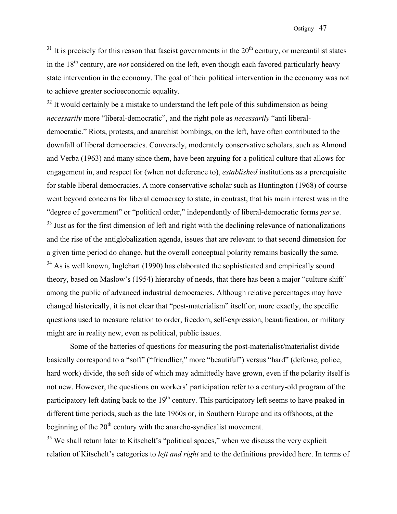$31$  It is precisely for this reason that fascist governments in the  $20<sup>th</sup>$  century, or mercantilist states in the  $18<sup>th</sup>$  century, are *not* considered on the left, even though each favored particularly heavy state intervention in the economy. The goal of their political intervention in the economy was not to achieve greater socioeconomic equality.

 $32$  It would certainly be a mistake to understand the left pole of this subdimension as being *necessarily* more "liberal-democratic", and the right pole as *necessarily* "anti liberaldemocratic." Riots, protests, and anarchist bombings, on the left, have often contributed to the downfall of liberal democracies. Conversely, moderately conservative scholars, such as Almond and Verba (1963) and many since them, have been arguing for a political culture that allows for engagement in, and respect for (when not deference to), *established* institutions as a prerequisite for stable liberal democracies. A more conservative scholar such as Huntington (1968) of course went beyond concerns for liberal democracy to state, in contrast, that his main interest was in the "degree of government" or "political order," independently of liberal-democratic forms *per se*.

 $33$  Just as for the first dimension of left and right with the declining relevance of nationalizations and the rise of the antiglobalization agenda, issues that are relevant to that second dimension for a given time period do change, but the overall conceptual polarity remains basically the same.  $34$  As is well known, Inglehart (1990) has elaborated the sophisticated and empirically sound theory, based on Maslow's (1954) hierarchy of needs, that there has been a major "culture shift" among the public of advanced industrial democracies. Although relative percentages may have changed historically, it is not clear that "post-materialism" itself or, more exactly, the specific questions used to measure relation to order, freedom, self-expression, beautification, or military might are in reality new, even as political, public issues.

 Some of the batteries of questions for measuring the post-materialist/materialist divide basically correspond to a "soft" ("friendlier," more "beautiful") versus "hard" (defense, police, hard work) divide, the soft side of which may admittedly have grown, even if the polarity itself is not new. However, the questions on workers' participation refer to a century-old program of the participatory left dating back to the  $19<sup>th</sup>$  century. This participatory left seems to have peaked in different time periods, such as the late 1960s or, in Southern Europe and its offshoots, at the beginning of the  $20<sup>th</sup>$  century with the anarcho-syndicalist movement.

 $35$  We shall return later to Kitschelt's "political spaces," when we discuss the very explicit relation of Kitschelt's categories to *left and right* and to the definitions provided here. In terms of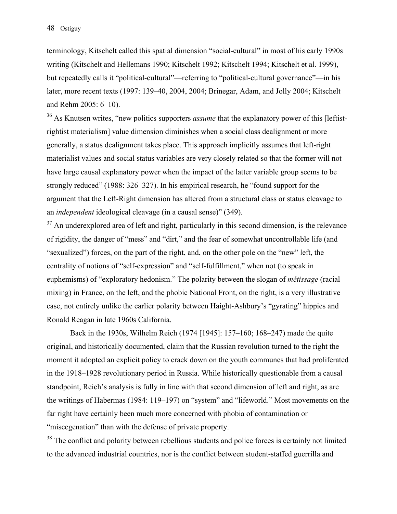terminology, Kitschelt called this spatial dimension "social-cultural" in most of his early 1990s writing (Kitschelt and Hellemans 1990; Kitschelt 1992; Kitschelt 1994; Kitschelt et al. 1999), but repeatedly calls it "political-cultural"—referring to "political-cultural governance"—in his later, more recent texts (1997: 139–40, 2004, 2004; Brinegar, Adam, and Jolly 2004; Kitschelt and Rehm 2005: 6–10).

<sup>36</sup> As Knutsen writes, "new politics supporters *assume* that the explanatory power of this [leftistrightist materialism] value dimension diminishes when a social class dealignment or more generally, a status dealignment takes place. This approach implicitly assumes that left-right materialist values and social status variables are very closely related so that the former will not have large causal explanatory power when the impact of the latter variable group seems to be strongly reduced" (1988: 326–327). In his empirical research, he "found support for the argument that the Left-Right dimension has altered from a structural class or status cleavage to an *independent* ideological cleavage (in a causal sense)" (349).

 $37$  An underexplored area of left and right, particularly in this second dimension, is the relevance of rigidity, the danger of "mess" and "dirt," and the fear of somewhat uncontrollable life (and "sexualized") forces, on the part of the right, and, on the other pole on the "new" left, the centrality of notions of "self-expression" and "self-fulfillment," when not (to speak in euphemisms) of "exploratory hedonism." The polarity between the slogan of *métissage* (racial mixing) in France, on the left, and the phobic National Front, on the right, is a very illustrative case, not entirely unlike the earlier polarity between Haight-Ashbury's "gyrating" hippies and Ronald Reagan in late 1960s California.

Back in the 1930s, Wilhelm Reich (1974 [1945]: 157–160; 168–247) made the quite original, and historically documented, claim that the Russian revolution turned to the right the moment it adopted an explicit policy to crack down on the youth communes that had proliferated in the 1918–1928 revolutionary period in Russia. While historically questionable from a causal standpoint, Reich's analysis is fully in line with that second dimension of left and right, as are the writings of Habermas (1984: 119–197) on "system" and "lifeworld." Most movements on the far right have certainly been much more concerned with phobia of contamination or "miscegenation" than with the defense of private property.

<sup>38</sup> The conflict and polarity between rebellious students and police forces is certainly not limited to the advanced industrial countries, nor is the conflict between student-staffed guerrilla and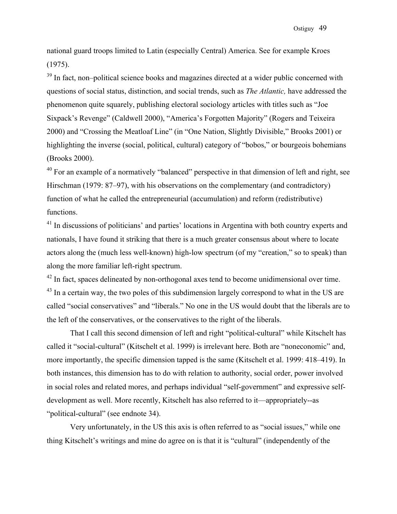national guard troops limited to Latin (especially Central) America. See for example Kroes (1975).

<sup>39</sup> In fact, non–political science books and magazines directed at a wider public concerned with questions of social status, distinction, and social trends, such as *The Atlantic,* have addressed the phenomenon quite squarely, publishing electoral sociology articles with titles such as "Joe Sixpack's Revenge" (Caldwell 2000), "America's Forgotten Majority" (Rogers and Teixeira 2000) and "Crossing the Meatloaf Line" (in "One Nation, Slightly Divisible," Brooks 2001) or highlighting the inverse (social, political, cultural) category of "bobos," or bourgeois bohemians (Brooks 2000).

 $40$  For an example of a normatively "balanced" perspective in that dimension of left and right, see Hirschman (1979: 87–97), with his observations on the complementary (and contradictory) function of what he called the entrepreneurial (accumulation) and reform (redistributive) functions.

<sup>41</sup> In discussions of politicians' and parties' locations in Argentina with both country experts and nationals, I have found it striking that there is a much greater consensus about where to locate actors along the (much less well-known) high-low spectrum (of my "creation," so to speak) than along the more familiar left-right spectrum.

<sup>42</sup> In fact, spaces delineated by non-orthogonal axes tend to become unidimensional over time. <sup>43</sup> In a certain way, the two poles of this subdimension largely correspond to what in the US are called "social conservatives" and "liberals." No one in the US would doubt that the liberals are to the left of the conservatives, or the conservatives to the right of the liberals.

 That I call this second dimension of left and right "political-cultural" while Kitschelt has called it "social-cultural" (Kitschelt et al. 1999) is irrelevant here. Both are "noneconomic" and, more importantly, the specific dimension tapped is the same (Kitschelt et al. 1999: 418–419). In both instances, this dimension has to do with relation to authority, social order, power involved in social roles and related mores, and perhaps individual "self-government" and expressive selfdevelopment as well. More recently, Kitschelt has also referred to it—appropriately--as "political-cultural" (see endnote 34).

 Very unfortunately, in the US this axis is often referred to as "social issues," while one thing Kitschelt's writings and mine do agree on is that it is "cultural" (independently of the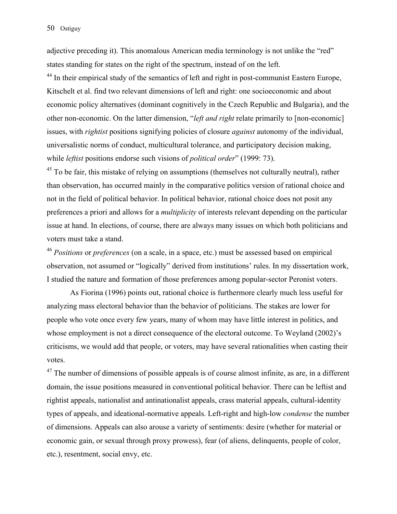adjective preceding it). This anomalous American media terminology is not unlike the "red" states standing for states on the right of the spectrum, instead of on the left.

<sup>44</sup> In their empirical study of the semantics of left and right in post-communist Eastern Europe, Kitschelt et al. find two relevant dimensions of left and right: one socioeconomic and about economic policy alternatives (dominant cognitively in the Czech Republic and Bulgaria), and the other non-economic. On the latter dimension, "*left and right* relate primarily to [non-economic] issues, with *rightist* positions signifying policies of closure *against* autonomy of the individual, universalistic norms of conduct, multicultural tolerance, and participatory decision making, while *leftist* positions endorse such visions of *political order*" (1999: 73).

 $45$  To be fair, this mistake of relying on assumptions (themselves not culturally neutral), rather than observation, has occurred mainly in the comparative politics version of rational choice and not in the field of political behavior. In political behavior, rational choice does not posit any preferences a priori and allows for a *multiplicity* of interests relevant depending on the particular issue at hand. In elections, of course, there are always many issues on which both politicians and voters must take a stand.

<sup>46</sup> *Positions* or *preferences* (on a scale, in a space, etc.) must be assessed based on empirical observation, not assumed or "logically" derived from institutions' rules. In my dissertation work, I studied the nature and formation of those preferences among popular-sector Peronist voters.

As Fiorina (1996) points out, rational choice is furthermore clearly much less useful for analyzing mass electoral behavior than the behavior of politicians. The stakes are lower for people who vote once every few years, many of whom may have little interest in politics, and whose employment is not a direct consequence of the electoral outcome. To Weyland (2002)'s criticisms, we would add that people, or voters, may have several rationalities when casting their votes.

 $47$  The number of dimensions of possible appeals is of course almost infinite, as are, in a different domain, the issue positions measured in conventional political behavior. There can be leftist and rightist appeals, nationalist and antinationalist appeals, crass material appeals, cultural-identity types of appeals, and ideational-normative appeals. Left-right and high-low *condense* the number of dimensions. Appeals can also arouse a variety of sentiments: desire (whether for material or economic gain, or sexual through proxy prowess), fear (of aliens, delinquents, people of color, etc.), resentment, social envy, etc.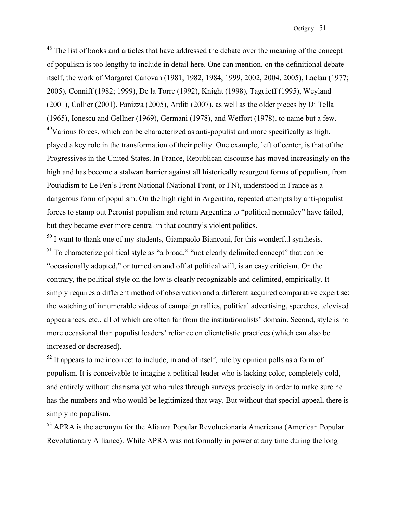<sup>48</sup> The list of books and articles that have addressed the debate over the meaning of the concept of populism is too lengthy to include in detail here. One can mention, on the definitional debate itself, the work of Margaret Canovan (1981, 1982, 1984, 1999, 2002, 2004, 2005), Laclau (1977; 2005), Conniff (1982; 1999), De la Torre (1992), Knight (1998), Taguieff (1995), Weyland (2001), Collier (2001), Panizza (2005), Arditi (2007), as well as the older pieces by Di Tella (1965), Ionescu and Gellner (1969), Germani (1978), and Weffort (1978), to name but a few.  $49$ Various forces, which can be characterized as anti-populist and more specifically as high, played a key role in the transformation of their polity. One example, left of center, is that of the Progressives in the United States. In France, Republican discourse has moved increasingly on the high and has become a stalwart barrier against all historically resurgent forms of populism, from Poujadism to Le Pen's Front National (National Front, or FN), understood in France as a dangerous form of populism. On the high right in Argentina, repeated attempts by anti-populist forces to stamp out Peronist populism and return Argentina to "political normalcy" have failed, but they became ever more central in that country's violent politics.

 $50$  I want to thank one of my students, Giampaolo Bianconi, for this wonderful synthesis.  $51$  To characterize political style as "a broad," "not clearly delimited concept" that can be "occasionally adopted," or turned on and off at political will, is an easy criticism. On the contrary, the political style on the low is clearly recognizable and delimited, empirically. It simply requires a different method of observation and a different acquired comparative expertise: the watching of innumerable videos of campaign rallies, political advertising, speeches, televised appearances, etc., all of which are often far from the institutionalists' domain. Second, style is no more occasional than populist leaders' reliance on clientelistic practices (which can also be increased or decreased).

 $52$  It appears to me incorrect to include, in and of itself, rule by opinion polls as a form of populism. It is conceivable to imagine a political leader who is lacking color, completely cold, and entirely without charisma yet who rules through surveys precisely in order to make sure he has the numbers and who would be legitimized that way. But without that special appeal, there is simply no populism.

<sup>53</sup> APRA is the acronym for the Alianza Popular Revolucionaria Americana (American Popular Revolutionary Alliance). While APRA was not formally in power at any time during the long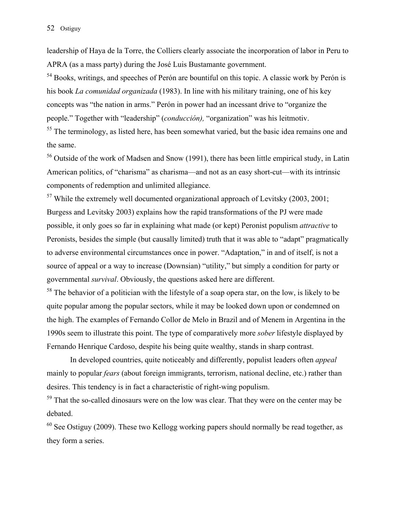leadership of Haya de la Torre, the Colliers clearly associate the incorporation of labor in Peru to APRA (as a mass party) during the José Luis Bustamante government.

<sup>54</sup> Books, writings, and speeches of Perón are bountiful on this topic. A classic work by Perón is his book *La comunidad organizada* (1983). In line with his military training, one of his key concepts was "the nation in arms." Perón in power had an incessant drive to "organize the people." Together with "leadership" (*conducción),* "organization" was his leitmotiv.

<sup>55</sup> The terminology, as listed here, has been somewhat varied, but the basic idea remains one and the same.

<sup>56</sup> Outside of the work of Madsen and Snow (1991), there has been little empirical study, in Latin American politics, of "charisma" as charisma—and not as an easy short-cut—with its intrinsic components of redemption and unlimited allegiance.

 $57$  While the extremely well documented organizational approach of Levitsky (2003, 2001; Burgess and Levitsky 2003) explains how the rapid transformations of the PJ were made possible, it only goes so far in explaining what made (or kept) Peronist populism *attractive* to Peronists, besides the simple (but causally limited) truth that it was able to "adapt" pragmatically to adverse environmental circumstances once in power. "Adaptation," in and of itself, is not a source of appeal or a way to increase (Downsian) "utility," but simply a condition for party or governmental *survival*. Obviously, the questions asked here are different.

<sup>58</sup> The behavior of a politician with the lifestyle of a soap opera star, on the low, is likely to be quite popular among the popular sectors, while it may be looked down upon or condemned on the high. The examples of Fernando Collor de Melo in Brazil and of Menem in Argentina in the 1990s seem to illustrate this point. The type of comparatively more *sober* lifestyle displayed by Fernando Henrique Cardoso, despite his being quite wealthy, stands in sharp contrast.

 In developed countries, quite noticeably and differently, populist leaders often *appeal* mainly to popular *fears* (about foreign immigrants, terrorism, national decline, etc.) rather than desires. This tendency is in fact a characteristic of right-wing populism.

 $59$  That the so-called dinosaurs were on the low was clear. That they were on the center may be debated.

 $60$  See Ostiguy (2009). These two Kellogg working papers should normally be read together, as they form a series.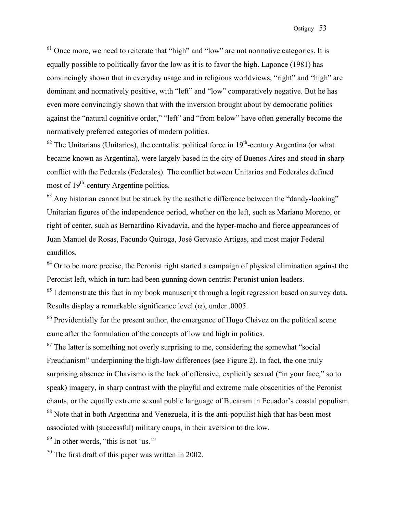$<sup>61</sup>$  Once more, we need to reiterate that "high" and "low" are not normative categories. It is</sup> equally possible to politically favor the low as it is to favor the high. Laponce (1981) has convincingly shown that in everyday usage and in religious worldviews, "right" and "high" are dominant and normatively positive, with "left" and "low" comparatively negative. But he has even more convincingly shown that with the inversion brought about by democratic politics against the "natural cognitive order," "left" and "from below" have often generally become the normatively preferred categories of modern politics.

 $62$  The Unitarians (Unitarios), the centralist political force in  $19<sup>th</sup>$ -century Argentina (or what became known as Argentina), were largely based in the city of Buenos Aires and stood in sharp conflict with the Federals (Federales). The conflict between Unitarios and Federales defined most of  $19<sup>th</sup>$ -century Argentine politics.

 $63$  Any historian cannot but be struck by the aesthetic difference between the "dandy-looking" Unitarian figures of the independence period, whether on the left, such as Mariano Moreno, or right of center, such as Bernardino Rivadavia, and the hyper-macho and fierce appearances of Juan Manuel de Rosas, Facundo Quiroga, José Gervasio Artigas, and most major Federal caudillos.

 $64$  Or to be more precise, the Peronist right started a campaign of physical elimination against the Peronist left, which in turn had been gunning down centrist Peronist union leaders.

<sup>65</sup> I demonstrate this fact in my book manuscript through a logit regression based on survey data. Results display a remarkable significance level  $(\alpha)$ , under .0005.

 $66$  Providentially for the present author, the emergence of Hugo Chávez on the political scene came after the formulation of the concepts of low and high in politics.

 $67$  The latter is something not overly surprising to me, considering the somewhat "social Freudianism" underpinning the high-low differences (see Figure 2). In fact, the one truly surprising absence in Chavismo is the lack of offensive, explicitly sexual ("in your face," so to speak) imagery, in sharp contrast with the playful and extreme male obscenities of the Peronist chants, or the equally extreme sexual public language of Bucaram in Ecuador's coastal populism. <sup>68</sup> Note that in both Argentina and Venezuela, it is the anti-populist high that has been most associated with (successful) military coups, in their aversion to the low.

 $69$  In other words, "this is not 'us."

 $70$  The first draft of this paper was written in 2002.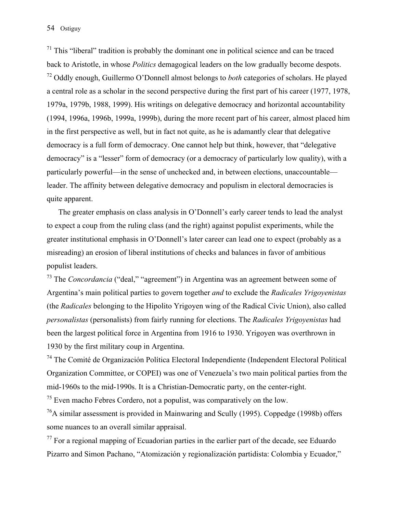$71$  This "liberal" tradition is probably the dominant one in political science and can be traced back to Aristotle, in whose *Politics* demagogical leaders on the low gradually become despots. 72 Oddly enough, Guillermo O'Donnell almost belongs to *both* categories of scholars. He played a central role as a scholar in the second perspective during the first part of his career (1977, 1978, 1979a, 1979b, 1988, 1999). His writings on delegative democracy and horizontal accountability (1994, 1996a, 1996b, 1999a, 1999b), during the more recent part of his career, almost placed him in the first perspective as well, but in fact not quite, as he is adamantly clear that delegative democracy is a full form of democracy. One cannot help but think, however, that "delegative democracy" is a "lesser" form of democracy (or a democracy of particularly low quality), with a particularly powerful—in the sense of unchecked and, in between elections, unaccountable leader. The affinity between delegative democracy and populism in electoral democracies is quite apparent.

 The greater emphasis on class analysis in O'Donnell's early career tends to lead the analyst to expect a coup from the ruling class (and the right) against populist experiments, while the greater institutional emphasis in O'Donnell's later career can lead one to expect (probably as a misreading) an erosion of liberal institutions of checks and balances in favor of ambitious populist leaders.

73 The *Concordancia* ("deal," "agreement") in Argentina was an agreement between some of Argentina's main political parties to govern together *and* to exclude the *Radicales Yrigoyenistas* (the *Radicales* belonging to the Hipolito Yrigoyen wing of the Radical Civic Union), also called *personalistas* (personalists) from fairly running for elections. The *Radicales Yrigoyenistas* had been the largest political force in Argentina from 1916 to 1930. Yrigoyen was overthrown in 1930 by the first military coup in Argentina.

74 The Comité de Organización Política Electoral Independiente (Independent Electoral Political Organization Committee, or COPEI) was one of Venezuela's two main political parties from the mid-1960s to the mid-1990s. It is a Christian-Democratic party, on the center-right.

 $75$  Even macho Febres Cordero, not a populist, was comparatively on the low.

 $^{76}$ A similar assessment is provided in Mainwaring and Scully (1995). Coppedge (1998b) offers some nuances to an overall similar appraisal.

 $^{77}$  For a regional mapping of Ecuadorian parties in the earlier part of the decade, see Eduardo Pizarro and Simon Pachano, "Atomización y regionalización partidista: Colombia y Ecuador,"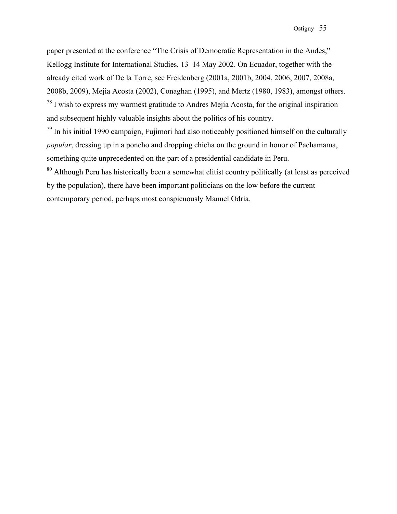paper presented at the conference "The Crisis of Democratic Representation in the Andes," Kellogg Institute for International Studies, 13–14 May 2002. On Ecuador, together with the already cited work of De la Torre, see Freidenberg (2001a, 2001b, 2004, 2006, 2007, 2008a, 2008b, 2009), Mejia Acosta (2002), Conaghan (1995), and Mertz (1980, 1983), amongst others.  $^{78}$  I wish to express my warmest gratitude to Andres Mejía Acosta, for the original inspiration and subsequent highly valuable insights about the politics of his country.

 $79$  In his initial 1990 campaign, Fujimori had also noticeably positioned himself on the culturally *popular*, dressing up in a poncho and dropping chicha on the ground in honor of Pachamama, something quite unprecedented on the part of a presidential candidate in Peru.

<sup>80</sup> Although Peru has historically been a somewhat elitist country politically (at least as perceived by the population), there have been important politicians on the low before the current contemporary period, perhaps most conspicuously Manuel Odría.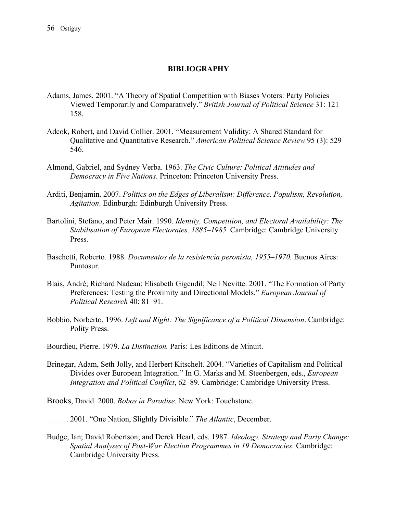### **BIBLIOGRAPHY**

- Adams, James. 2001. "A Theory of Spatial Competition with Biases Voters: Party Policies Viewed Temporarily and Comparatively." *British Journal of Political Science* 31: 121– 158.
- Adcok, Robert, and David Collier. 2001. "Measurement Validity: A Shared Standard for Qualitative and Quantitative Research." *American Political Science Review* 95 (3): 529– 546.
- Almond, Gabriel, and Sydney Verba. 1963. *The Civic Culture: Political Attitudes and Democracy in Five Nations*. Princeton: Princeton University Press.
- Arditi, Benjamin. 2007. *Politics on the Edges of Liberalism: Difference, Populism, Revolution, Agitation*. Edinburgh: Edinburgh University Press.
- Bartolini, Stefano, and Peter Mair. 1990. *Identity, Competition, and Electoral Availability: The Stabilisation of European Electorates, 1885–1985.* Cambridge: Cambridge University Press.
- Baschetti, Roberto. 1988. *Documentos de la resistencia peronista, 1955–1970.* Buenos Aires: Puntosur.
- Blais, André; Richard Nadeau; Elisabeth Gigendil; Neil Nevitte. 2001. "The Formation of Party Preferences: Testing the Proximity and Directional Models." *European Journal of Political Research* 40: 81–91.
- Bobbio, Norberto. 1996. *Left and Right: The Significance of a Political Dimension*. Cambridge: Polity Press.

Bourdieu, Pierre. 1979. *La Distinction.* Paris: Les Editions de Minuit.

Brinegar, Adam, Seth Jolly, and Herbert Kitschelt. 2004. "Varieties of Capitalism and Political Divides over European Integration." In G. Marks and M. Steenbergen, eds., *European Integration and Political Conflict*, 62–89. Cambridge: Cambridge University Press.

Brooks, David. 2000. *Bobos in Paradise.* New York: Touchstone.

\_\_\_\_\_. 2001. "One Nation, Slightly Divisible." *The Atlantic*, December.

Budge, Ian; David Robertson; and Derek Hearl, eds. 1987. *Ideology, Strategy and Party Change: Spatial Analyses of Post-War Election Programmes in 19 Democracies.* Cambridge: Cambridge University Press.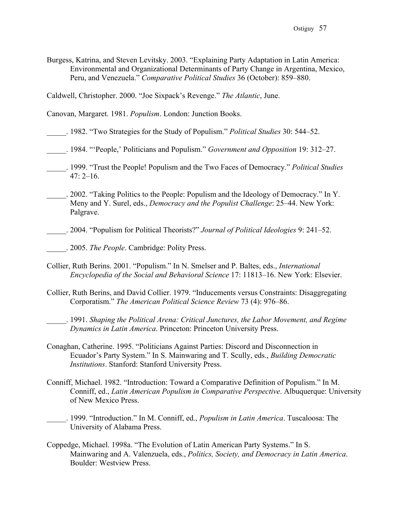Burgess, Katrina, and Steven Levitsky. 2003. "Explaining Party Adaptation in Latin America: Environmental and Organizational Determinants of Party Change in Argentina, Mexico, Peru, and Venezuela." *Comparative Political Studies* 36 (October): 859–880.

Caldwell, Christopher. 2000. "Joe Sixpack's Revenge." *The Atlantic*, June.

Canovan, Margaret. 1981. *Populism*. London: Junction Books.

\_\_\_\_\_. 1982. "Two Strategies for the Study of Populism." *Political Studies* 30: 544–52.

- \_\_\_\_\_. 1984. "'People,' Politicians and Populism." *Government and Opposition* 19: 312–27.
- \_\_\_\_\_. 1999. "Trust the People! Populism and the Two Faces of Democracy." *Political Studies*  $47: 2 - 16.$
- \_\_\_\_\_. 2002. "Taking Politics to the People: Populism and the Ideology of Democracy." In Y. Meny and Y. Surel, eds., *Democracy and the Populist Challenge*: 25–44. New York: Palgrave.
- \_\_\_\_\_. 2004. "Populism for Political Theorists?" *Journal of Political Ideologies* 9: 241–52.

- Collier, Ruth Berins. 2001. "Populism." In N. Smelser and P. Baltes, eds., *International Encyclopedia of the Social and Behavioral Science* 17: 11813–16. New York: Elsevier.
- Collier, Ruth Berins, and David Collier. 1979. "Inducements versus Constraints: Disaggregating Corporatism." *The American Political Science Review* 73 (4): 976–86.
	- \_\_\_\_\_. 1991. *Shaping the Political Arena: Critical Junctures, the Labor Movement, and Regime Dynamics in Latin America*. Princeton: Princeton University Press.
- Conaghan, Catherine. 1995. "Politicians Against Parties: Discord and Disconnection in Ecuador's Party System." In S. Mainwaring and T. Scully, eds., *Building Democratic Institutions*. Stanford: Stanford University Press.
- Conniff, Michael. 1982. "Introduction: Toward a Comparative Definition of Populism." In M. Conniff, ed., *Latin American Populism in Comparative Perspective*. Albuquerque: University of New Mexico Press.
- \_\_\_\_\_. 1999. "Introduction." In M. Conniff, ed., *Populism in Latin America*. Tuscaloosa: The University of Alabama Press.
- Coppedge, Michael. 1998a. "The Evolution of Latin American Party Systems." In S. Mainwaring and A. Valenzuela, eds., *Politics, Society, and Democracy in Latin America*. Boulder: Westview Press.

\_\_\_\_\_. 2005. *The People*. Cambridge: Polity Press.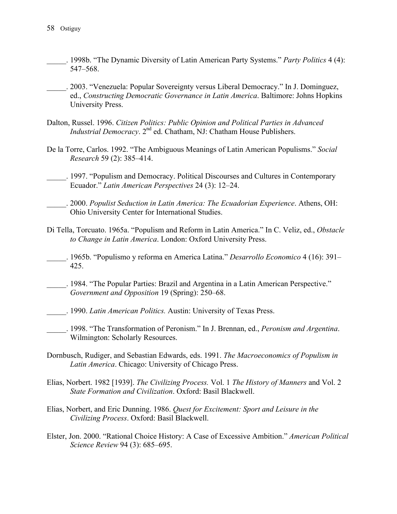- \_\_\_\_\_. 1998b. "The Dynamic Diversity of Latin American Party Systems." *Party Politics* 4 (4): 547–568.
- \_\_\_\_\_. 2003. "Venezuela: Popular Sovereignty versus Liberal Democracy." In J. Dominguez, ed., *Constructing Democratic Governance in Latin America*. Baltimore: Johns Hopkins University Press.
- Dalton, Russel. 1996. *Citizen Politics: Public Opinion and Political Parties in Advanced Industrial Democracy*. 2<sup>nd</sup> ed. Chatham, NJ: Chatham House Publishers.
- De la Torre, Carlos. 1992. "The Ambiguous Meanings of Latin American Populisms." *Social Research* 59 (2): 385–414.
- \_\_\_\_\_. 1997. "Populism and Democracy. Political Discourses and Cultures in Contemporary Ecuador." *Latin American Perspectives* 24 (3): 12–24.
- \_\_\_\_\_. 2000. *Populist Seduction in Latin America: The Ecuadorian Experience*. Athens, OH: Ohio University Center for International Studies.
- Di Tella, Torcuato. 1965a. "Populism and Reform in Latin America." In C. Veliz, ed., *Obstacle to Change in Latin America*. London: Oxford University Press.
- \_\_\_\_\_. 1965b. "Populismo y reforma en America Latina." *Desarrollo Economico* 4 (16): 391– 425.
- \_\_\_\_\_. 1984. "The Popular Parties: Brazil and Argentina in a Latin American Perspective." *Government and Opposition* 19 (Spring): 250–68.
- \_\_\_\_\_. 1990. *Latin American Politics.* Austin: University of Texas Press.
- \_\_\_\_\_. 1998. "The Transformation of Peronism." In J. Brennan, ed., *Peronism and Argentina*. Wilmington: Scholarly Resources.
- Dornbusch, Rudiger, and Sebastian Edwards, eds. 1991. *The Macroeconomics of Populism in Latin America*. Chicago: University of Chicago Press.
- Elias, Norbert. 1982 [1939]. *The Civilizing Process.* Vol. 1 *The History of Manners* and Vol. 2 *State Formation and Civilization*. Oxford: Basil Blackwell.
- Elias, Norbert, and Eric Dunning. 1986. *Quest for Excitement: Sport and Leisure in the Civilizing Process*. Oxford: Basil Blackwell.
- Elster, Jon. 2000. "Rational Choice History: A Case of Excessive Ambition." *American Political Science Review* 94 (3): 685–695.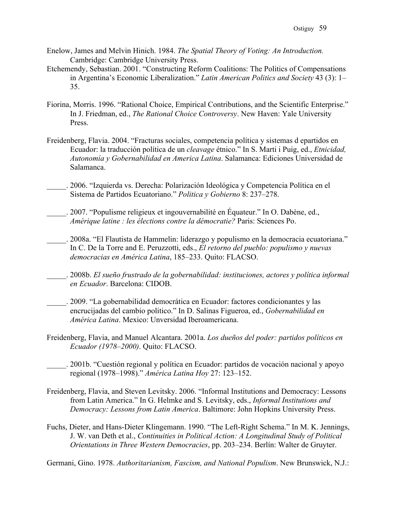- Enelow, James and Melvin Hinich. 1984. *The Spatial Theory of Voting: An Introduction.* Cambridge: Cambridge University Press.
- Etchemendy, Sebastian. 2001. "Constructing Reform Coalitions: The Politics of Compensations in Argentina's Economic Liberalization." *Latin American Politics and Society* 43 (3): 1– 35.
- Fiorina, Morris. 1996. "Rational Choice, Empirical Contributions, and the Scientific Enterprise." In J. Friedman, ed., *The Rational Choice Controversy*. New Haven: Yale University Press.
- Freidenberg, Flavia. 2004. "Fracturas sociales, competencia política y sistemas d epartidos en Ecuador: la traducción política de un *cleavage* étnico." In S. Marti i Puig, ed., *Etnicidad, Autonomía y Gobernabilidad en America Latina*. Salamanca: Ediciones Universidad de Salamanca.
- \_\_\_\_\_. 2006. "Izquierda vs. Derecha: Polarización Ideológica y Competencia Política en el Sistema de Partidos Ecuatoriano." *Politica y Gobierno* 8: 237–278.
- \_\_\_\_\_. 2007. "Populisme religieux et ingouvernabilité en Équateur." In O. Dabène, ed., *Amérique latine : les élections contre la démocratie?* Paris: Sciences Po.
- \_\_\_\_\_. 2008a. "El Flautista de Hammelin: liderazgo y populismo en la democracia ecuatoriana." In C. De la Torre and E. Peruzzotti, eds., *El retorno del pueblo: populismo y nuevas democracias en América Latina*, 185–233. Quito: FLACSO.
- \_\_\_\_\_. 2008b. *El sueño frustrado de la gobernabilidad: instituciones, actores y política informal en Ecuador*. Barcelona: CIDOB.
- \_\_\_\_\_. 2009. "La gobernabilidad democrática en Ecuador: factores condicionantes y las encrucijadas del cambio politico." In D. Salinas Figueroa, ed., *Gobernabilidad en América Latina*. Mexico: Unversidad Iberoamericana.
- Freidenberg, Flavia, and Manuel Alcantara. 2001a. *Los dueños del poder: partidos políticos en Ecuador (1978–2000)*. Quito: FLACSO.
- \_\_\_\_\_. 2001b. "Cuestión regional y política en Ecuador: partidos de vocación nacional y apoyo regional (1978–1998)." *América Latina Hoy* 27: 123–152.
- Freidenberg, Flavia, and Steven Levitsky. 2006. "Informal Institutions and Democracy: Lessons from Latin America." In G. Helmke and S. Levitsky, eds., *Informal Institutions and Democracy: Lessons from Latin America*. Baltimore: John Hopkins University Press.
- Fuchs, Dieter, and Hans-Dieter Klingemann. 1990. "The Left-Right Schema." In M. K. Jennings, J. W. van Deth et al., *Continuities in Political Action: A Longitudinal Study of Political Orientations in Three Western Democracies*, pp. 203–234. Berlín: Walter de Gruyter.

Germani, Gino. 1978. *Authoritarianism, Fascism, and National Populism*. New Brunswick, N.J.: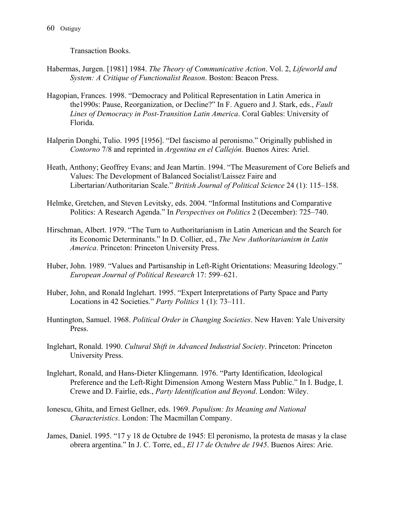Transaction Books.

- Habermas, Jurgen. [1981] 1984. *The Theory of Communicative Action*. Vol. 2, *Lifeworld and System: A Critique of Functionalist Reason*. Boston: Beacon Press.
- Hagopian, Frances. 1998. "Democracy and Political Representation in Latin America in the1990s: Pause, Reorganization, or Decline?" In F. Aguero and J. Stark, eds., *Fault Lines of Democracy in Post-Transition Latin America*. Coral Gables: University of Florida.
- Halperin Donghi, Tulio. 1995 [1956]. "Del fascismo al peronismo." Originally published in *Contorno* 7/8 and reprinted in *Argentina en el Callejón.* Buenos Aires: Ariel.
- Heath, Anthony; Geoffrey Evans; and Jean Martin. 1994. "The Measurement of Core Beliefs and Values: The Development of Balanced Socialist/Laissez Faire and Libertarian/Authoritarian Scale." *British Journal of Political Science* 24 (1): 115–158.
- Helmke, Gretchen, and Steven Levitsky, eds. 2004. "Informal Institutions and Comparative Politics: A Research Agenda." In *Perspectives on Politics* 2 (December): 725–740.
- Hirschman, Albert. 1979. "The Turn to Authoritarianism in Latin American and the Search for its Economic Determinants." In D. Collier, ed., *The New Authoritarianism in Latin America*. Princeton: Princeton University Press.
- Huber, John. 1989. "Values and Partisanship in Left-Right Orientations: Measuring Ideology." *European Journal of Political Research* 17: 599–621.
- Huber, John, and Ronald Inglehart. 1995. "Expert Interpretations of Party Space and Party Locations in 42 Societies." *Party Politics* 1 (1): 73–111.
- Huntington, Samuel. 1968. *Political Order in Changing Societies*. New Haven: Yale University Press.
- Inglehart, Ronald. 1990. *Cultural Shift in Advanced Industrial Society*. Princeton: Princeton University Press.
- Inglehart, Ronald, and Hans-Dieter Klingemann. 1976. "Party Identification, Ideological Preference and the Left-Right Dimension Among Western Mass Public." In I. Budge, I. Crewe and D. Fairlie, eds., *Party Identification and Beyond*. London: Wiley.
- Ionescu, Ghita, and Ernest Gellner, eds. 1969. *Populism: Its Meaning and National Characteristics*. London: The Macmillan Company.
- James, Daniel. 1995. "17 y 18 de Octubre de 1945: El peronismo, la protesta de masas y la clase obrera argentina." In J. C. Torre, ed., *El 17 de Octubre de 1945*. Buenos Aires: Arie.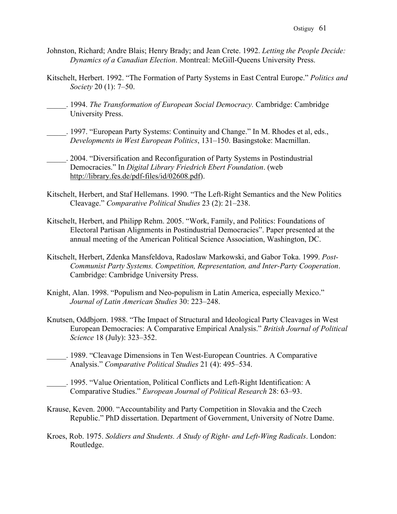- Johnston, Richard; Andre Blais; Henry Brady; and Jean Crete. 1992. *Letting the People Decide: Dynamics of a Canadian Election*. Montreal: McGill-Queens University Press.
- Kitschelt, Herbert. 1992. "The Formation of Party Systems in East Central Europe." *Politics and Society* 20 (1): 7–50.
- \_\_\_\_\_. 1994. *The Transformation of European Social Democracy.* Cambridge: Cambridge University Press.
- . 1997. "European Party Systems: Continuity and Change." In M. Rhodes et al, eds., *Developments in West European Politics*, 131–150. Basingstoke: Macmillan.
- \_\_\_\_\_. 2004. "Diversification and Reconfiguration of Party Systems in Postindustrial Democracies." In *Digital Library Friedrich Ebert Foundation*. (web http://library.fes.de/pdf-files/id/02608.pdf).
- Kitschelt, Herbert, and Staf Hellemans. 1990. "The Left-Right Semantics and the New Politics Cleavage." *Comparative Political Studies* 23 (2): 21–238.
- Kitschelt, Herbert, and Philipp Rehm. 2005. "Work, Family, and Politics: Foundations of Electoral Partisan Alignments in Postindustrial Democracies". Paper presented at the annual meeting of the American Political Science Association, Washington, DC.
- Kitschelt, Herbert, Zdenka Mansfeldova, Radoslaw Markowski, and Gabor Toka. 1999. *Post-Communist Party Systems. Competition, Representation, and Inter-Party Cooperation*. Cambridge: Cambridge University Press.
- Knight, Alan. 1998. "Populism and Neo-populism in Latin America, especially Mexico." *Journal of Latin American Studies* 30: 223–248.
- Knutsen, Oddbjorn. 1988. "The Impact of Structural and Ideological Party Cleavages in West European Democracies: A Comparative Empirical Analysis." *British Journal of Political Science* 18 (July): 323–352.
- \_\_\_\_\_. 1989. "Cleavage Dimensions in Ten West-European Countries. A Comparative Analysis." *Comparative Political Studies* 21 (4): 495–534.
	- \_\_\_\_\_. 1995. "Value Orientation, Political Conflicts and Left-Right Identification: A Comparative Studies." *European Journal of Political Research* 28: 63–93.
- Krause, Keven. 2000. "Accountability and Party Competition in Slovakia and the Czech Republic." PhD dissertation. Department of Government, University of Notre Dame.
- Kroes, Rob. 1975. *Soldiers and Students. A Study of Right- and Left-Wing Radicals*. London: Routledge.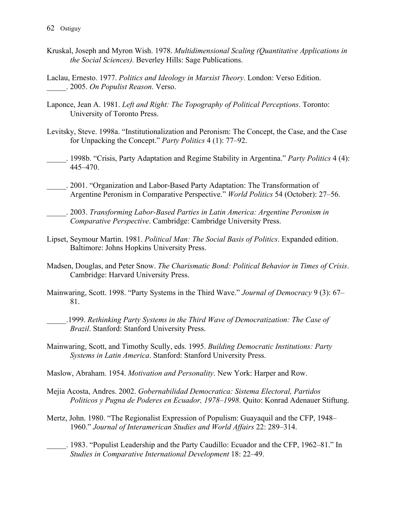- Kruskal, Joseph and Myron Wish. 1978. *Multidimensional Scaling (Quantitative Applications in the Social Sciences).* Beverley Hills: Sage Publications.
- Laclau, Ernesto. 1977. *Politics and Ideology in Marxist Theory*. London: Verso Edition. \_\_\_\_\_. 2005. *On Populist Reason*. Verso.
- Laponce, Jean A. 1981. *Left and Right: The Topography of Political Perceptions*. Toronto: University of Toronto Press.
- Levitsky, Steve. 1998a. "Institutionalization and Peronism: The Concept, the Case, and the Case for Unpacking the Concept." *Party Politics* 4 (1): 77–92.
- \_\_\_\_\_. 1998b. "Crisis, Party Adaptation and Regime Stability in Argentina." *Party Politics* 4 (4): 445–470.
- \_\_\_\_\_. 2001. "Organization and Labor-Based Party Adaptation: The Transformation of Argentine Peronism in Comparative Perspective." *World Politics* 54 (October): 27–56.
	- \_\_\_\_\_. 2003. *Transforming Labor-Based Parties in Latin America: Argentine Peronism in Comparative Perspective*. Cambridge: Cambridge University Press.
- Lipset, Seymour Martin. 1981. *Political Man: The Social Basis of Politics*. Expanded edition. Baltimore: Johns Hopkins University Press.
- Madsen, Douglas, and Peter Snow. *The Charismatic Bond: Political Behavior in Times of Crisis*. Cambridge: Harvard University Press.
- Mainwaring, Scott. 1998. "Party Systems in the Third Wave." *Journal of Democracy* 9 (3): 67– 81.
	- \_\_\_\_\_.1999. *Rethinking Party Systems in the Third Wave of Democratization: The Case of Brazil*. Stanford: Stanford University Press.
- Mainwaring, Scott, and Timothy Scully, eds. 1995. *Building Democratic Institutions: Party Systems in Latin America*. Stanford: Stanford University Press.
- Maslow, Abraham. 1954. *Motivation and Personality*. New York: Harper and Row.
- Mejia Acosta, Andres. 2002. *Gobernabilidad Democratica: Sistema Electoral, Partidos Politicos y Pugna de Poderes en Ecuador, 1978–1998*. Quito: Konrad Adenauer Stiftung.
- Mertz, John. 1980. "The Regionalist Expression of Populism: Guayaquil and the CFP, 1948– 1960." *Journal of Interamerican Studies and World Affairs* 22: 289–314.
- \_\_\_\_\_. 1983. "Populist Leadership and the Party Caudillo: Ecuador and the CFP, 1962–81." In *Studies in Comparative International Development* 18: 22–49.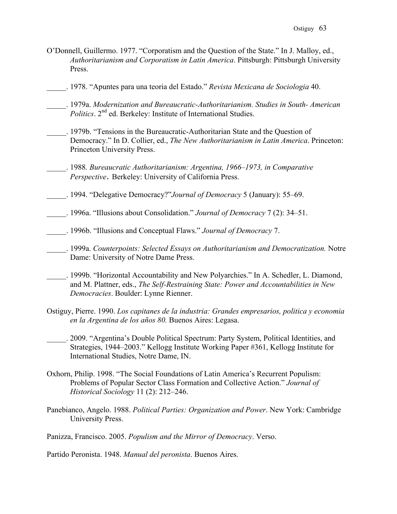- O'Donnell, Guillermo. 1977. "Corporatism and the Question of the State." In J. Malloy, ed., *Authoritarianism and Corporatism in Latin America*. Pittsburgh: Pittsburgh University Press.
- \_\_\_\_\_. 1978. "Apuntes para una teoria del Estado." *Revista Mexicana de Sociologia* 40.
- \_\_\_\_\_. 1979a. *Modernization and Bureaucratic-Authoritarianism. Studies in South- American Politics*. 2<sup>nd</sup> ed. Berkeley: Institute of International Studies.
- \_\_\_\_\_. 1979b. "Tensions in the Bureaucratic-Authoritarian State and the Question of Democracy." In D. Collier, ed., *The New Authoritarianism in Latin America*. Princeton: Princeton University Press.
- \_\_\_\_\_. 1988*. Bureaucratic Authoritarianism: Argentina, 1966–1973, in Comparative Perspective*. Berkeley: University of California Press.
- \_\_\_\_\_. 1994. "Delegative Democracy?"*Journal of Democracy* 5 (January): 55–69.
- \_\_\_\_\_. 1996a. "Illusions about Consolidation." *Journal of Democracy* 7 (2): 34–51.
- \_\_\_\_\_. 1996b. "Illusions and Conceptual Flaws." *Journal of Democracy* 7.
- \_\_\_\_\_. 1999a. *Counterpoints: Selected Essays on Authoritarianism and Democratization.* Notre Dame: University of Notre Dame Press.
- \_\_\_\_\_. 1999b. "Horizontal Accountability and New Polyarchies." In A. Schedler, L. Diamond, and M. Plattner, eds., *The Self-Restraining State: Power and Accountabilities in New Democracies*. Boulder: Lynne Rienner.
- Ostiguy, Pierre. 1990. *Los capitanes de la industria: Grandes empresarios, politica y economia en la Argentina de los años 80.* Buenos Aires: Legasa.
	- \_\_\_\_\_. 2009. "Argentina's Double Political Spectrum: Party System, Political Identities, and Strategies, 1944–2003." Kellogg Institute Working Paper #361, Kellogg Institute for International Studies, Notre Dame, IN.
- Oxhorn, Philip. 1998. "The Social Foundations of Latin America's Recurrent Populism: Problems of Popular Sector Class Formation and Collective Action." *Journal of Historical Sociology* 11 (2): 212–246.
- Panebianco, Angelo. 1988. *Political Parties: Organization and Power*. New York: Cambridge University Press.

Panizza, Francisco. 2005. *Populism and the Mirror of Democracy*. Verso.

Partido Peronista. 1948. *Manual del peronista*. Buenos Aires.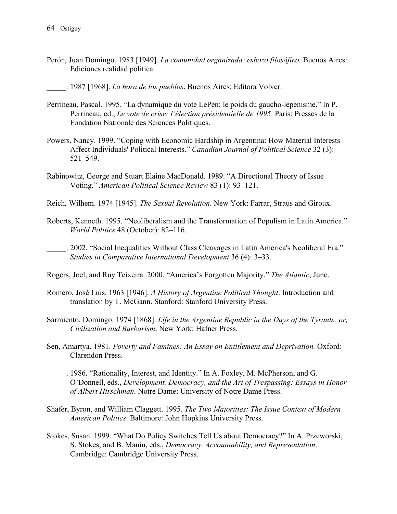- Perón, Juan Domingo. 1983 [1949]. *La comunidad organizada: esbozo filosófico.* Buenos Aires: Ediciones realidad política.
- \_\_\_\_\_. 1987 [1968]. *La hora de los pueblos*. Buenos Aires: Editora Volver.
- Perrineau, Pascal. 1995. "La dynamique du vote LePen: le poids du gaucho-lepenisme." In P. Perrineau, ed., *Le vote de crise: l'élection présidentielle de 1995*. Paris: Presses de la Fondation Nationale des Sciences Politiques.
- Powers, Nancy. 1999. "Coping with Economic Hardship in Argentina: How Material Interests Affect Individuals' Political Interests." *Canadian Journal of Political Science* 32 (3): 521–549.
- Rabinowitz, George and Stuart Elaine MacDonald. 1989. "A Directional Theory of Issue Voting." *American Political Science Review* 83 (1): 93–121.
- Reich, Wilhem. 1974 [1945]. *The Sexual Revolution*. New York: Farrar, Straus and Giroux.
- Roberts, Kenneth. 1995. "Neoliberalism and the Transformation of Populism in Latin America." *World Politics* 48 (October): 82–116.
- \_\_\_\_\_. 2002. "Social Inequalities Without Class Cleavages in Latin America's Neoliberal Era." *Studies in Comparative International Development* 36 (4): 3–33.
- Rogers, Joel, and Ruy Teixeira. 2000. "America's Forgotten Majority." *The Atlantic*, June.
- Romero, José Luis. 1963 [1946]. *A History of Argentine Political Thought*. Introduction and translation by T. McGann. Stanford: Stanford University Press.
- Sarmiento, Domingo. 1974 [1868]. *Life in the Argentine Republic in the Days of the Tyrants; or, Civilization and Barbarism*. New York: Hafner Press.
- Sen, Amartya. 1981. *Poverty and Famines: An Essay on Entitlement and Deprivation.* Oxford: Clarendon Press.
- \_\_\_\_\_. 1986. "Rationality, Interest, and Identity." In A. Foxley, M. McPherson, and G. O'Donnell, eds., *Development, Democracy, and the Art of Trespassing: Essays in Honor of Albert Hirschman*. Notre Dame: University of Notre Dame Press.
- Shafer, Byron, and William Claggett. 1995. *The Two Majorities: The Issue Context of Modern American Politics*. Baltimore: John Hopkins University Press.
- Stokes, Susan. 1999. "What Do Policy Switches Tell Us about Democracy?" In A. Przeworski, S. Stokes, and B. Manin, eds., *Democracy, Accountability, and Representation*. Cambridge: Cambridge University Press.